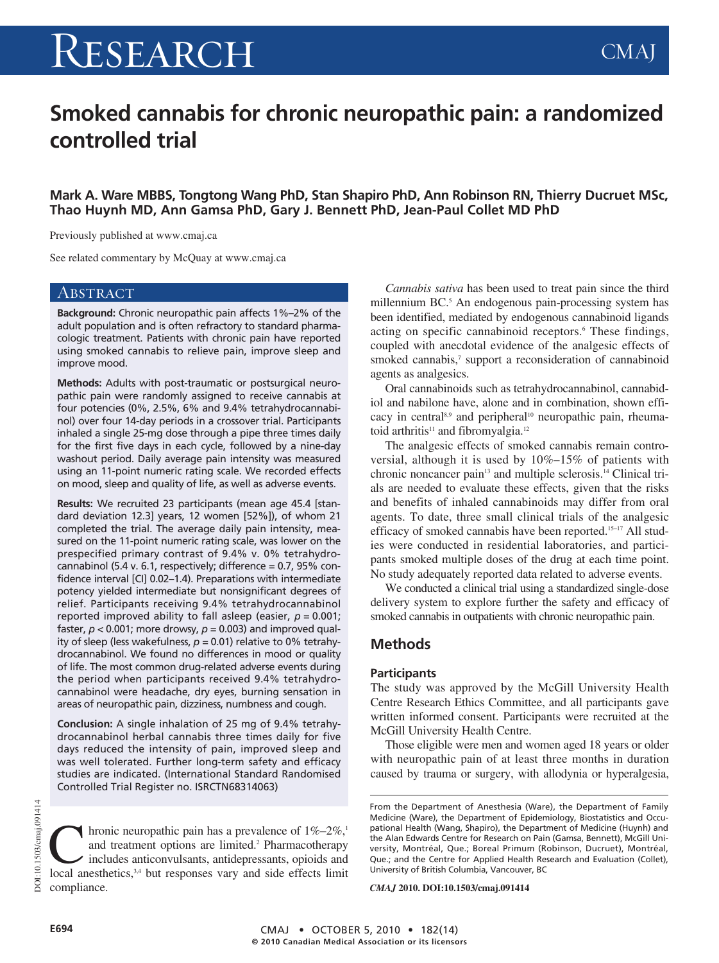# RESEARCH CMAJ

# **Smoked cannabis for chronic neuropathic pain: a randomized controlled trial**

**Mark A. Ware MBBS, Tongtong Wang PhD, Stan Shapiro PhD, Ann Robinson RN, Thierry Ducruet MSc, Thao Huynh MD, Ann Gamsa PhD, Gary J. Bennett PhD, Jean-Paul Collet MD PhD**

Previously published at www.cmaj.ca

See related commentary by McQuay at www.cmaj.ca

# Abstract

**Background:** Chronic neuropathic pain affects 1%–2% of the adult population and is often refractory to standard pharmacologic treatment. Patients with chronic pain have reported using smoked cannabis to relieve pain, improve sleep and improve mood.

**Methods:** Adults with post-traumatic or postsurgical neuropathic pain were randomly assigned to receive cannabis at four potencies (0%, 2.5%, 6% and 9.4% tetrahydrocannabinol) over four 14-day periods in a crossover trial. Participants inhaled a single 25-mg dose through a pipe three times daily for the first five days in each cycle, followed by a nine-day washout period. Daily average pain intensity was measured using an 11-point numeric rating scale. We recorded effects on mood, sleep and quality of life, as well as adverse events.

**Results:** We recruited 23 participants (mean age 45.4 [standard deviation 12.3] years, 12 women [52%]), of whom 21 completed the trial. The average daily pain intensity, measured on the 11-point numeric rating scale, was lower on the prespecified primary contrast of 9.4% v. 0% tetrahydrocannabinol (5.4 v. 6.1, respectively; difference = 0.7,  $95\%$  confidence interval [CI] 0.02–1.4). Preparations with intermediate potency yielded intermediate but nonsignificant degrees of relief. Participants receiving 9.4% tetrahydrocannabinol reported improved ability to fall asleep (easier,  $p = 0.001$ ; faster,  $p < 0.001$ ; more drowsy,  $p = 0.003$ ) and improved quality of sleep (less wakefulness,  $p = 0.01$ ) relative to 0% tetrahydrocannabinol. We found no differences in mood or quality of life. The most common drug-related adverse events during the period when participants received 9.4% tetrahydrocannabinol were headache, dry eyes, burning sensation in areas of neuropathic pain, dizziness, numbness and cough.

**Conclusion:** A single inhalation of 25 mg of 9.4% tetrahydrocannabinol herbal cannabis three times daily for five days reduced the intensity of pain, improved sleep and was well tolerated. Further long-term safety and efficacy studies are indicated. (International Standard Randomised Controlled Trial Register no. ISRCTN68314063)

Intonic neuropathic pain has a prevalence of  $1\% - 2\%$ ,<br>and treatment options are limited.<sup>2</sup> Pharmacotherapy<br>includes anticonvulsants, antidepressants, opioids and<br>local anesthetics.<sup>3,4</sup> but responses vary and side eff hronic neuropathic pain has a prevalence of  $1\% - 2\%$ , and treatment options are limited. <sup>2</sup> Pharmacotherapy includes anticonvulsants, antidepressants, opioids and local anesthetics,<sup>3,4</sup> but responses vary and side effects limit compliance.

*Cannabis sativa* has been used to treat pain since the third millennium BC. <sup>5</sup> An endogenous pain-processing system has been identified, mediated by endogenous cannabinoid ligands acting on specific cannabinoid receptors. <sup>6</sup> These findings, coupled with anecdotal evidence of the analgesic effects of smoked cannabis, <sup>7</sup> support a reconsideration of cannabinoid agents as analgesics.

Oral cannabinoids such as tetrahydrocannabinol, cannabidiol and nabilone have, alone and in combination, shown efficacy in central<sup>8,9</sup> and peripheral<sup>10</sup> neuropathic pain, rheumatoid arthritis<sup>11</sup> and fibromyalgia.<sup>12</sup>

The analgesic effects of smoked cannabis remain controversial, although it is used by 10%–15% of patients with chronic noncancer pain<sup>13</sup> and multiple sclerosis.<sup>14</sup> Clinical trials are needed to evaluate these effects, given that the risks and benefits of inhaled cannabinoids may differ from oral agents. To date, three small clinical trials of the analgesic efficacy of smoked cannabis have been reported. 15–17 All studies were conducted in residential laboratories, and participants smoked multiple doses of the drug at each time point. No study adequately reported data related to adverse events.

We conducted a clinical trial using a standardized single-dose delivery system to explore further the safety and efficacy of smoked cannabis in outpatients with chronic neuropathic pain.

# **Methods**

# **Participants**

The study was approved by the McGill University Health Centre Research Ethics Committee, and all participants gave written informed consent. Participants were recruited at the McGill University Health Centre.

Those eligible were men and women aged 18 years or older with neuropathic pain of at least three months in duration caused by trauma or surgery, with allodynia or hyperalgesia,

*CMAJ* **2010. DOI:10.1503/cmaj.091414**

From the Department of Anesthesia (Ware), the Department of Family Medicine (Ware), the Department of Epidemiology, Biostatistics and Occupational Health (Wang, Shapiro), the Department of Medicine (Huynh) and the Alan Edwards Centre for Research on Pain (Gamsa, Bennett), McGill University, Montréal, Que.; Boreal Primum (Robinson, Ducruet), Montréal, Que.; and the Centre for Applied Health Research and Evaluation (Collet), University of British Columbia, Vancouver, BC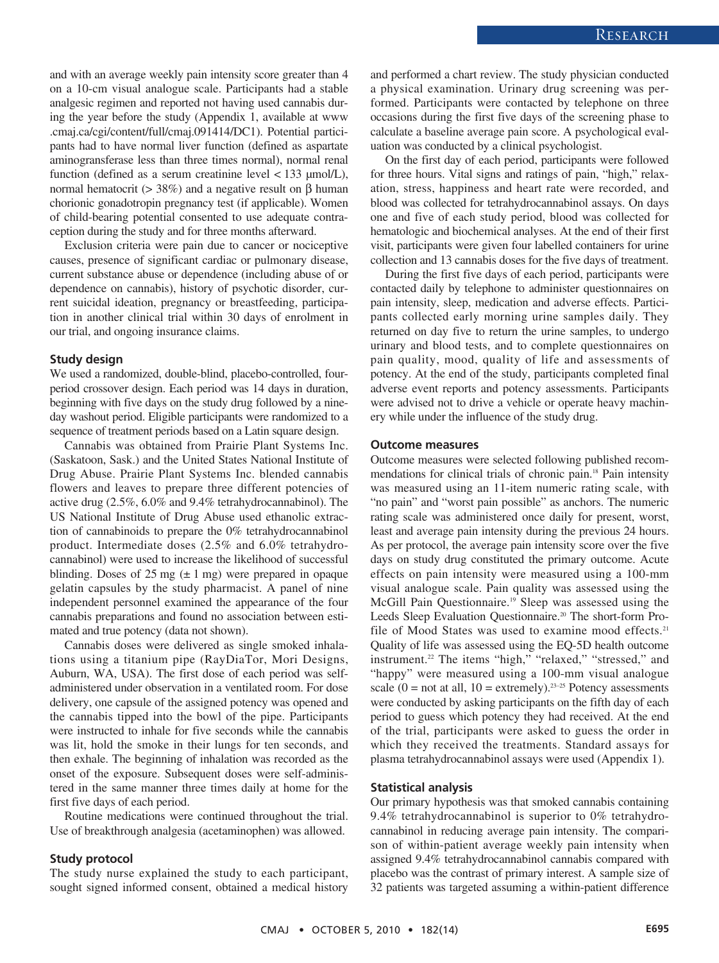and with an average weekly pain intensity score greater than 4 on a 10-cm visual analogue scale. Participants had a stable analgesic regimen and reported not having used cannabis during the year before the study (Appendix 1, available at www .cmaj.ca/cgi/content/full/cmaj.091414/DC1). Potential participants had to have normal liver function (defined as aspartate aminogransferase less than three times normal), normal renal function (defined as a serum creatinine level  $<$  133  $\mu$ mol/L), normal hematocrit (> 38%) and a negative result on β human chorionic gonadotropin pregnancy test (if applicable). Women of child-bearing potential consented to use adequate contraception during the study and for three months afterward.

Exclusion criteria were pain due to cancer or nociceptive causes, presence of significant cardiac or pulmonary disease, current substance abuse or dependence (including abuse of or dependence on cannabis), history of psychotic disorder, current suicidal ideation, pregnancy or breastfeeding, participation in another clinical trial within 30 days of enrolment in our trial, and ongoing insurance claims.

#### **Study design**

We used a randomized, double-blind, placebo-controlled, fourperiod crossover design. Each period was 14 days in duration, beginning with five days on the study drug followed by a nineday washout period. Eligible participants were randomized to a sequence of treatment periods based on a Latin square design.

Cannabis was obtained from Prairie Plant Systems Inc. (Saskatoon, Sask.) and the United States National Institute of Drug Abuse. Prairie Plant Systems Inc. blended cannabis flowers and leaves to prepare three different potencies of active drug (2.5%, 6.0% and 9.4% tetrahydrocannabinol). The US National Institute of Drug Abuse used ethanolic extraction of cannabinoids to prepare the 0% tetrahydrocannabinol product. Intermediate doses (2.5% and 6.0% tetrahydrocannabinol) were used to increase the likelihood of successful blinding. Doses of 25 mg  $(\pm 1 \text{ mg})$  were prepared in opaque gelatin capsules by the study pharmacist. A panel of nine independent personnel examined the appearance of the four cannabis preparations and found no association between estimated and true potency (data not shown).

Cannabis doses were delivered as single smoked inhalations using a titanium pipe (RayDiaTor, Mori Designs, Auburn, WA, USA). The first dose of each period was selfadministered under observation in a ventilated room. For dose delivery, one capsule of the assigned potency was opened and the cannabis tipped into the bowl of the pipe. Participants were instructed to inhale for five seconds while the cannabis was lit, hold the smoke in their lungs for ten seconds, and then exhale. The beginning of inhalation was recorded as the onset of the exposure. Subsequent doses were self-administered in the same manner three times daily at home for the first five days of each period.

Routine medications were continued throughout the trial. Use of breakthrough analgesia (acetaminophen) was allowed.

# **Study protocol**

The study nurse explained the study to each participant, sought signed informed consent, obtained a medical history

and performed a chart review. The study physician conducted a physical examination. Urinary drug screening was performed. Participants were contacted by telephone on three occasions during the first five days of the screening phase to calculate a baseline average pain score. A psychological evaluation was conducted by a clinical psychologist.

On the first day of each period, participants were followed for three hours. Vital signs and ratings of pain, "high," relaxation, stress, happiness and heart rate were recorded, and blood was collected for tetrahydrocannabinol assays. On days one and five of each study period, blood was collected for hematologic and biochemical analyses. At the end of their first visit, participants were given four labelled containers for urine collection and 13 cannabis doses for the five days of treatment.

During the first five days of each period, participants were contacted daily by telephone to administer questionnaires on pain intensity, sleep, medication and adverse effects. Participants collected early morning urine samples daily. They returned on day five to return the urine samples, to undergo urinary and blood tests, and to complete questionnaires on pain quality, mood, quality of life and assessments of potency. At the end of the study, participants completed final adverse event reports and potency assessments. Participants were advised not to drive a vehicle or operate heavy machinery while under the influence of the study drug.

### **Outcome measures**

Outcome measures were selected following published recommendations for clinical trials of chronic pain. <sup>18</sup> Pain intensity was measured using an 11-item numeric rating scale, with "no pain" and "worst pain possible" as anchors. The numeric rating scale was administered once daily for present, worst, least and average pain intensity during the previous 24 hours. As per protocol, the average pain intensity score over the five days on study drug constituted the primary outcome. Acute effects on pain intensity were measured using a 100-mm visual analogue scale. Pain quality was assessed using the McGill Pain Questionnaire. <sup>19</sup> Sleep was assessed using the Leeds Sleep Evaluation Questionnaire. <sup>20</sup> The short-form Profile of Mood States was used to examine mood effects.<sup>21</sup> Quality of life was assessed using the EQ-5D health outcome instrument. <sup>22</sup> The items "high," "relaxed," "stressed," and "happy" were measured using a 100-mm visual analogue scale  $(0 = not at all, 10 = extremely).^{23-25}$  Potency assessments were conducted by asking participants on the fifth day of each period to guess which potency they had received. At the end of the trial, participants were asked to guess the order in which they received the treatments. Standard assays for plasma tetrahydrocannabinol assays were used (Appendix 1).

### **Statistical analysis**

Our primary hypothesis was that smoked cannabis containing 9.4% tetrahydrocannabinol is superior to 0% tetrahydrocannabinol in reducing average pain intensity. The comparison of within-patient average weekly pain intensity when assigned 9.4% tetrahydrocannabinol cannabis compared with placebo was the contrast of primary interest. A sample size of 32 patients was targeted assuming a within-patient difference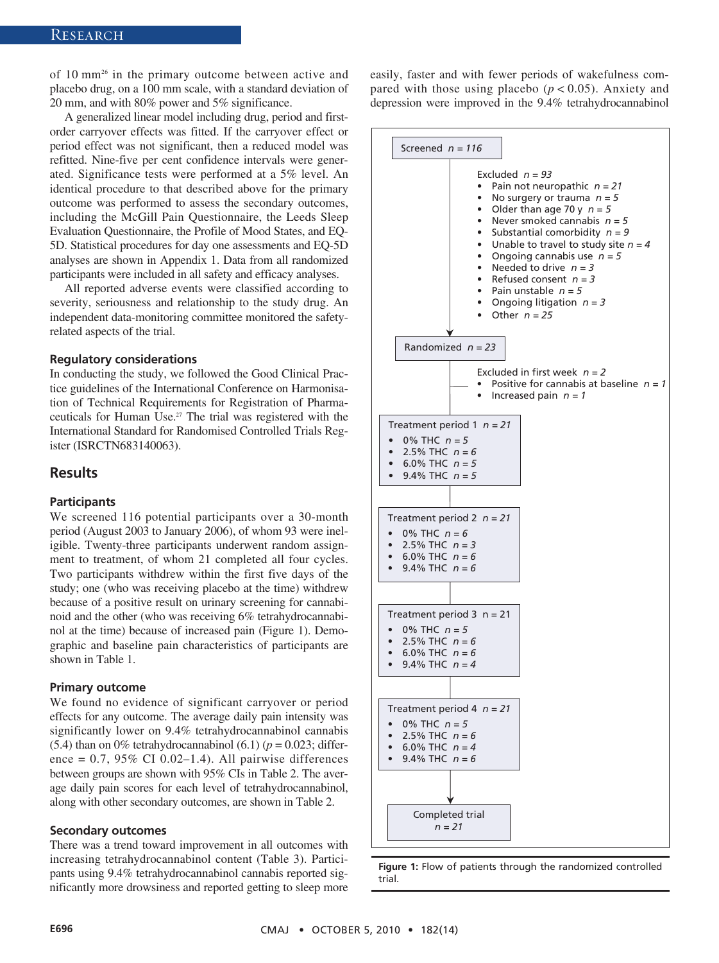of 10 mm26 in the primary outcome between active and placebo drug, on a 100 mm scale, with a standard deviation of 20 mm, and with 80% power and 5% significance.

A generalized linear model including drug, period and firstorder carryover effects was fitted. If the carryover effect or period effect was not significant, then a reduced model was refitted. Nine-five per cent confidence intervals were generated. Significance tests were performed at a 5% level. An identical procedure to that described above for the primary outcome was performed to assess the secondary outcomes, including the McGill Pain Questionnaire, the Leeds Sleep Evaluation Questionnaire, the Profile of Mood States, and EQ-5D. Statistical procedures for day one assessments and EQ-5D analyses are shown in Appendix 1. Data from all randomized participants were included in all safety and efficacy analyses.

All reported adverse events were classified according to severity, seriousness and relationship to the study drug. An independent data-monitoring committee monitored the safetyrelated aspects of the trial.

# **Regulatory considerations**

In conducting the study, we followed the Good Clinical Practice guidelines of the International Conference on Harmonisation of Technical Requirements for Registration of Pharmaceuticals for Human Use. <sup>27</sup> The trial was registered with the International Standard for Randomised Controlled Trials Register (ISRCTN683140063).

# **Results**

# **Participants**

We screened 116 potential participants over a 30-month period (August 2003 to January 2006), of whom 93 were ineligible. Twenty-three participants underwent random assignment to treatment, of whom 21 completed all four cycles. Two participants withdrew within the first five days of the study; one (who was receiving placebo at the time) withdrew because of a positive result on urinary screening for cannabinoid and the other (who was receiving 6% tetrahydrocannabinol at the time) because of increased pain (Figure 1). Demographic and baseline pain characteristics of participants are shown in Table 1.

# **Primary outcome**

We found no evidence of significant carryover or period effects for any outcome. The average daily pain intensity was significantly lower on 9.4% tetrahydrocannabinol cannabis (5.4) than on 0% tetrahydrocannabinol (6.1) ( $p = 0.023$ ; difference =  $0.7$ ,  $95\%$  CI  $0.02-1.4$ ). All pairwise differences between groups are shown with 95% CIs in Table 2. The average daily pain scores for each level of tetrahydrocannabinol, along with other secondary outcomes, are shown in Table 2.

# **Secondary outcomes**

There was a trend toward improvement in all outcomes with increasing tetrahydrocannabinol content (Table 3). Participants using 9.4% tetrahydrocannabinol cannabis reported significantly more drowsiness and reported getting to sleep more easily, faster and with fewer periods of wakefulness compared with those using placebo  $(p < 0.05)$ . Anxiety and depression were improved in the 9.4% tetrahydrocannabinol



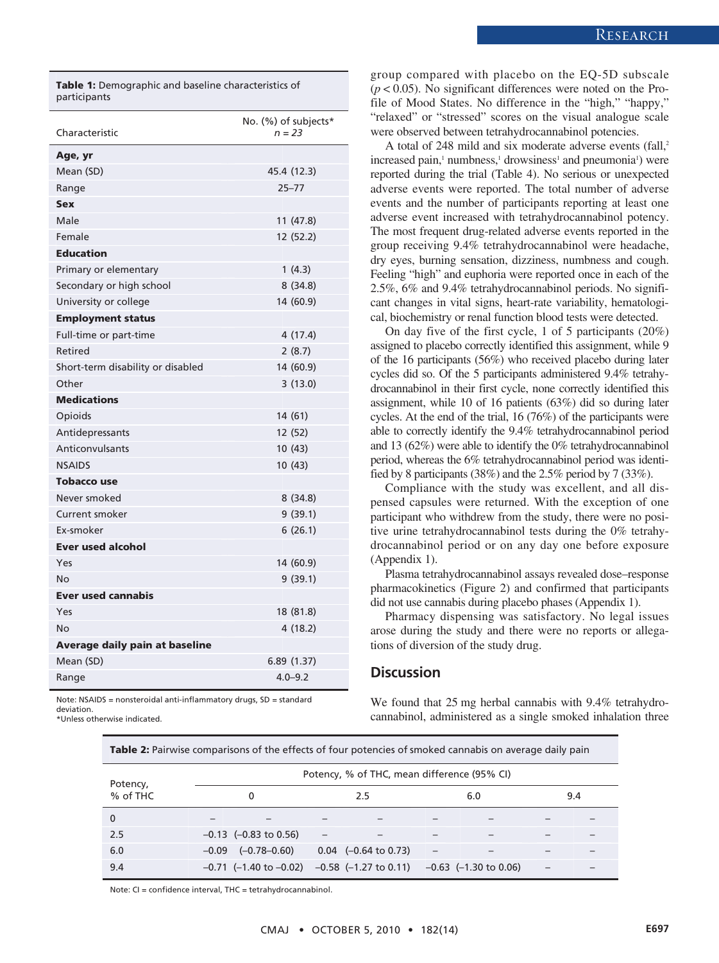|              | <b>Table 1:</b> Demographic and baseline characteristics of |  |
|--------------|-------------------------------------------------------------|--|
| participants |                                                             |  |

| Characteristic                    | No. (%) of subjects*<br>$n = 23$ |
|-----------------------------------|----------------------------------|
| Age, yr                           |                                  |
| Mean (SD)                         | 45.4 (12.3)                      |
| Range                             | $25 - 77$                        |
| <b>Sex</b>                        |                                  |
| Male                              | 11 (47.8)                        |
| Female                            | 12 (52.2)                        |
| <b>Education</b>                  |                                  |
| Primary or elementary             | 1(4.3)                           |
| Secondary or high school          | 8(34.8)                          |
| University or college             | 14 (60.9)                        |
| <b>Employment status</b>          |                                  |
| Full-time or part-time            | 4(17.4)                          |
| Retired                           | 2(8.7)                           |
| Short-term disability or disabled | 14 (60.9)                        |
| Other                             | 3(13.0)                          |
| <b>Medications</b>                |                                  |
| Opioids                           | 14 (61)                          |
| Antidepressants                   | 12 (52)                          |
| Anticonvulsants                   | 10 (43)                          |
| <b>NSAIDS</b>                     | 10 (43)                          |
| <b>Tobacco use</b>                |                                  |
| Never smoked                      | 8(34.8)                          |
| Current smoker                    | 9(39.1)                          |
| Ex-smoker                         | 6(26.1)                          |
| Ever used alcohol                 |                                  |
| Yes                               | 14 (60.9)                        |
| <b>No</b>                         | 9(39.1)                          |
| <b>Ever used cannabis</b>         |                                  |
| Yes                               | 18 (81.8)                        |
| <b>No</b>                         | 4 (18.2)                         |
| Average daily pain at baseline    |                                  |
| Mean (SD)                         | 6.89(1.37)                       |
| Range                             | $4.0 - 9.2$                      |

Note: NSAIDS = nonsteroidal anti-inflammatory drugs, SD = standard deviation. \*Unless otherwise indicated.

group compared with placebo on the EQ-5D subscale  $(p < 0.05)$ . No significant differences were noted on the Profile of Mood States. No difference in the "high," "happy," "relaxed" or "stressed" scores on the visual analogue scale were observed between tetrahydrocannabinol potencies.

A total of 248 mild and six moderate adverse events (fall, 2 increased pain,<sup>1</sup> numbness,<sup>1</sup> drowsiness<sup>1</sup> and pneumonia<sup>1</sup>) were reported during the trial (Table 4). No serious or unexpected adverse events were reported. The total number of adverse events and the number of participants reporting at least one adverse event increased with tetrahydrocannabinol potency. The most frequent drug-related adverse events reported in the group receiving 9.4% tetrahydrocannabinol were headache, dry eyes, burning sensation, dizziness, numbness and cough. Feeling "high" and euphoria were reported once in each of the 2.5%, 6% and 9.4% tetrahydrocannabinol periods. No significant changes in vital signs, heart-rate variability, hematological, biochemistry or renal function blood tests were detected.

On day five of the first cycle, 1 of 5 participants (20%) assigned to placebo correctly identified this assignment, while 9 of the 16 participants (56%) who received placebo during later cycles did so. Of the 5 participants administered 9.4% tetrahydrocannabinol in their first cycle, none correctly identified this assignment, while 10 of 16 patients (63%) did so during later cycles. At the end of the trial, 16 (76%) of the participants were able to correctly identify the 9.4% tetrahydrocannabinol period and 13 (62%) were able to identify the 0% tetrahydrocannabinol period, whereas the 6% tetrahydrocannabinol period was identified by 8 participants (38%) and the 2.5% period by 7 (33%).

Compliance with the study was excellent, and all dispensed capsules were returned. With the exception of one participant who withdrew from the study, there were no positive urine tetrahydrocannabinol tests during the 0% tetrahydrocannabinol period or on any day one before exposure (Appendix 1).

Plasma tetrahydrocannabinol assays revealed dose–response pharmacokinetics (Figure 2) and confirmed that participants did not use cannabis during placebo phases (Appendix 1).

Pharmacy dispensing was satisfactory. No legal issues arose during the study and there were no reports or allegations of diversion of the study drug.

# **Discussion**

We found that 25 mg herbal cannabis with 9.4% tetrahydrocannabinol, administered as a single smoked inhalation three

|  | Table 2: Pairwise comparisons of the effects of four potencies of smoked cannabis on average daily pain |  |  |  |  |
|--|---------------------------------------------------------------------------------------------------------|--|--|--|--|
|  |                                                                                                         |  |  |  |  |

| Potency,       | Potency, % of THC, mean difference (95% CI) |                                                                             |     |                                   |                   |  |     |  |  |  |
|----------------|---------------------------------------------|-----------------------------------------------------------------------------|-----|-----------------------------------|-------------------|--|-----|--|--|--|
| % of THC       |                                             |                                                                             | 2.5 |                                   | 6.0               |  | 9.4 |  |  |  |
| $\overline{0}$ |                                             |                                                                             |     |                                   |                   |  |     |  |  |  |
| 2.5            |                                             | $-0.13$ $(-0.83$ to 0.56)                                                   |     |                                   |                   |  |     |  |  |  |
| 6.0            |                                             | $-0.09$ $(-0.78 - 0.60)$                                                    |     | $0.04$ $(-0.64 \text{ to } 0.73)$ | $\qquad \qquad -$ |  |     |  |  |  |
| 9.4            |                                             | $-0.71$ (-1.40 to $-0.02$ ) $-0.58$ (-1.27 to 0.11) $-0.63$ (-1.30 to 0.06) |     |                                   |                   |  |     |  |  |  |

Note: CI = confidence interval, THC = tetrahydrocannabinol.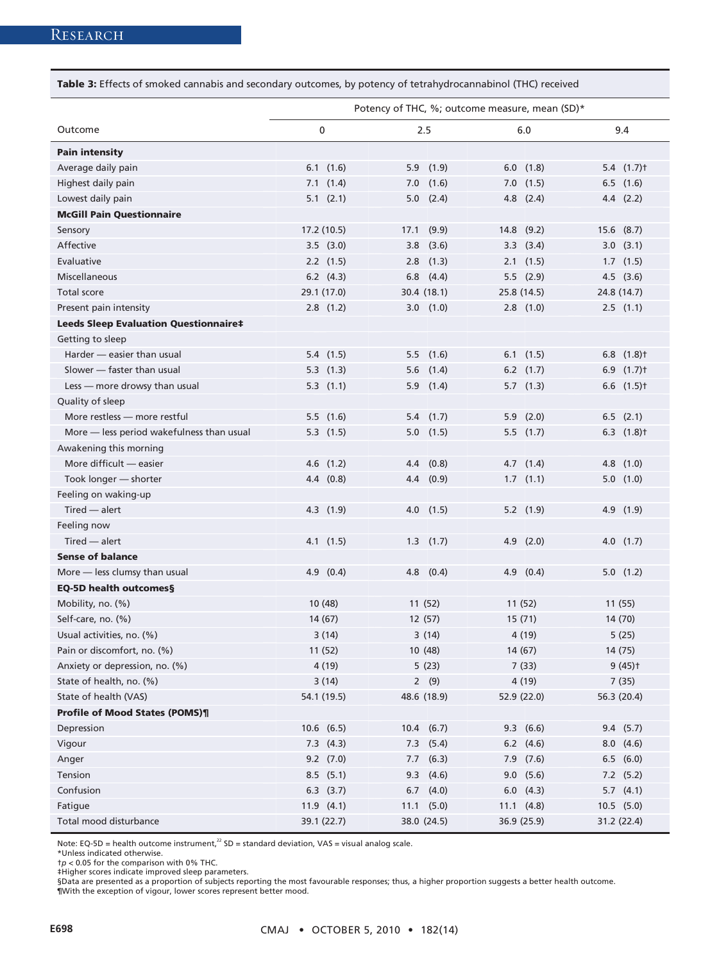| <b>Table 3:</b> Effects of smoked cannabis and secondary outcomes, by potency of tetranydrocannabinol (THC) received |                                                |               |                |                            |  |  |  |
|----------------------------------------------------------------------------------------------------------------------|------------------------------------------------|---------------|----------------|----------------------------|--|--|--|
|                                                                                                                      | Potency of THC, %; outcome measure, mean (SD)* |               |                |                            |  |  |  |
| Outcome                                                                                                              | 0                                              | 2.5           | 6.0            | 9.4                        |  |  |  |
| <b>Pain intensity</b>                                                                                                |                                                |               |                |                            |  |  |  |
| Average daily pain                                                                                                   | 6.1(1.6)                                       | $5.9$ $(1.9)$ | $6.0$ $(1.8)$  | $5.4$ $(1.7)$ <sup>+</sup> |  |  |  |
| Highest daily pain                                                                                                   | $7.1$ $(1.4)$                                  | $7.0$ $(1.6)$ | $7.0$ $(1.5)$  | $6.5$ $(1.6)$              |  |  |  |
| Lowest daily pain                                                                                                    | $5.1$ $(2.1)$                                  | $5.0$ $(2.4)$ | $4.8$ $(2.4)$  | $4.4$ $(2.2)$              |  |  |  |
| <b>McGill Pain Questionnaire</b>                                                                                     |                                                |               |                |                            |  |  |  |
| Sensory                                                                                                              | 17.2 (10.5)                                    | $17.1$ (9.9)  | 14.8 (9.2)     | $15.6$ $(8.7)$             |  |  |  |
| Affective                                                                                                            | $3.5$ $(3.0)$                                  | $3.8$ $(3.6)$ | $3.3$ $(3.4)$  | $3.0$ $(3.1)$              |  |  |  |
| Evaluative                                                                                                           | $2.2$ $(1.5)$                                  | $2.8$ $(1.3)$ | $2.1$ $(1.5)$  | $1.7$ $(1.5)$              |  |  |  |
| Miscellaneous                                                                                                        | $6.2$ $(4.3)$                                  | $6.8$ $(4.4)$ | $5.5$ $(2.9)$  | $4.5$ $(3.6)$              |  |  |  |
| <b>Total score</b>                                                                                                   | 29.1 (17.0)                                    | 30.4(18.1)    | 25.8 (14.5)    | 24.8 (14.7)                |  |  |  |
| Present pain intensity                                                                                               | $2.8$ $(1.2)$                                  | $3.0$ $(1.0)$ | $2.8$ $(1.0)$  | $2.5$ $(1.1)$              |  |  |  |
| <b>Leeds Sleep Evaluation Questionnaire‡</b>                                                                         |                                                |               |                |                            |  |  |  |
| Getting to sleep                                                                                                     |                                                |               |                |                            |  |  |  |
| Harder – easier than usual                                                                                           | $5.4$ $(1.5)$                                  | $5.5$ $(1.6)$ | $6.1$ $(1.5)$  | $6.8$ $(1.8)$ <sup>+</sup> |  |  |  |
| Slower - faster than usual                                                                                           | $5.3$ $(1.3)$                                  | 5.6<br>(1.4)  | $6.2$ $(1.7)$  | $6.9$ $(1.7)$ <sup>+</sup> |  |  |  |
| Less - more drowsy than usual                                                                                        | $5.3$ $(1.1)$                                  | $5.9$ $(1.4)$ | $5.7$ $(1.3)$  | $6.6$ $(1.5)$ <sup>+</sup> |  |  |  |
| Quality of sleep                                                                                                     |                                                |               |                |                            |  |  |  |
| More restless - more restful                                                                                         | $5.5$ $(1.6)$                                  | $5.4$ $(1.7)$ | $5.9$ $(2.0)$  | $6.5$ $(2.1)$              |  |  |  |
| More – less period wakefulness than usual                                                                            | $5.3$ $(1.5)$                                  | $5.0$ $(1.5)$ | $5.5$ $(1.7)$  | $6.3$ $(1.8)$ <sup>+</sup> |  |  |  |
| Awakening this morning                                                                                               |                                                |               |                |                            |  |  |  |
| More difficult - easier                                                                                              | $4.6$ $(1.2)$                                  | $4.4$ $(0.8)$ | $4.7$ $(1.4)$  | $4.8$ $(1.0)$              |  |  |  |
| Took longer - shorter                                                                                                | 4.4(0.8)                                       | $4.4$ $(0.9)$ | $1.7$ $(1.1)$  | $5.0$ $(1.0)$              |  |  |  |
| Feeling on waking-up                                                                                                 |                                                |               |                |                            |  |  |  |
| $Tired$ - alert                                                                                                      | $4.3$ $(1.9)$                                  | $4.0$ $(1.5)$ | $5.2$ $(1.9)$  | 4.9(1.9)                   |  |  |  |
| Feeling now                                                                                                          |                                                |               |                |                            |  |  |  |
| $Tired - alert$                                                                                                      | $4.1$ $(1.5)$                                  | $1.3$ $(1.7)$ | $4.9$ $(2.0)$  | $4.0$ $(1.7)$              |  |  |  |
| <b>Sense of balance</b>                                                                                              |                                                |               |                |                            |  |  |  |
| More - less clumsy than usual                                                                                        | $4.9$ $(0.4)$                                  | $4.8$ $(0.4)$ | $4.9$ $(0.4)$  | $5.0$ $(1.2)$              |  |  |  |
| <b>EQ-5D health outcomes§</b>                                                                                        |                                                |               |                |                            |  |  |  |
| Mobility, no. (%)                                                                                                    | 10(48)                                         | 11(52)        | 11(52)         | 11(55)                     |  |  |  |
| Self-care, no. (%)                                                                                                   | 14 (67)                                        | 12(57)        | 15(71)         | 14 (70)                    |  |  |  |
| Usual activities, no. (%)                                                                                            | 3(14)                                          | 3(14)         | 4(19)          | 5(25)                      |  |  |  |
| Pain or discomfort, no. (%)                                                                                          | 11 (52)                                        | 10 (48)       | 14 (67)        | 14 (75)                    |  |  |  |
| Anxiety or depression, no. (%)                                                                                       | 4(19)                                          | 5(23)         | 7(33)          | $9(45)$ †                  |  |  |  |
| State of health, no. (%)                                                                                             | 3(14)                                          | 2(9)          | 4 (19)         | 7(35)                      |  |  |  |
| State of health (VAS)                                                                                                | 54.1 (19.5)                                    | 48.6 (18.9)   | 52.9 (22.0)    | 56.3 (20.4)                |  |  |  |
| Profile of Mood States (POMS)¶                                                                                       |                                                |               |                |                            |  |  |  |
| Depression                                                                                                           | $10.6$ $(6.5)$                                 | $10.4$ (6.7)  | $9.3$ $(6.6)$  | $9.4$ (5.7)                |  |  |  |
| Vigour                                                                                                               | $7.3$ $(4.3)$                                  | $7.3$ $(5.4)$ | $6.2$ $(4.6)$  | 8.0(4.6)                   |  |  |  |
| Anger                                                                                                                | $9.2$ $(7.0)$                                  | (6.3)<br>7.7  | $7.9$ $(7.6)$  | $6.5$ $(6.0)$              |  |  |  |
| Tension                                                                                                              | $8.5$ $(5.1)$                                  | $9.3$ $(4.6)$ | $9.0$ $(5.6)$  | $7.2$ (5.2)                |  |  |  |
| Confusion                                                                                                            | $6.3$ $(3.7)$                                  | $6.7$ $(4.0)$ | $6.0$ $(4.3)$  | $5.7$ $(4.1)$              |  |  |  |
| Fatigue                                                                                                              | $11.9$ $(4.1)$                                 | $11.1$ (5.0)  | $11.1$ $(4.8)$ | $10.5$ (5.0)               |  |  |  |
| Total mood disturbance                                                                                               | 39.1 (22.7)                                    | 38.0 (24.5)   | 36.9 (25.9)    | 31.2 (22.4)                |  |  |  |

**Table 3:** Effects of smoked cannabis and secondary outcomes, by potency of tetrahydrocannabinol (THC) received

Note: EQ-5D = health outcome instrument, $^{22}$  SD = standard deviation, VAS = visual analog scale.<br>\*Unless indicated otherwise.

†*p* < 0.05 for the comparison with 0% THC.

‡Higher scores indicate improved sleep parameters.<br>§Data are presented as a proportion of subjects reporting the most favourable responses; thus, a higher proportion suggests a better health outcome.<br>¶With the exception o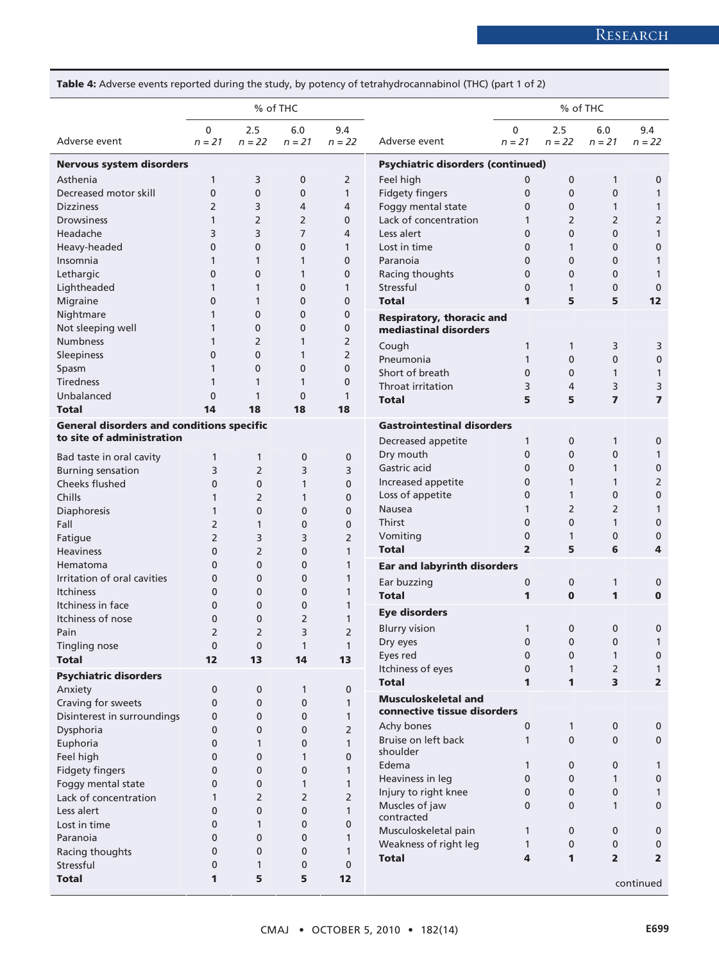**Table 4:** Adverse events reported during the study, by potency of tetrahydrocannabinol (THC) (part 1 of 2)

| 6.0<br>9.4<br>0<br>0<br>2.5<br>2.5<br>6.0<br>9.4<br>$n = 21$<br>$n = 21$<br>Adverse event<br>$n = 22$<br>$n = 21$<br>$n = 22$<br>$n = 22$<br>$n = 21$<br>Adverse event<br>$n = 22$<br><b>Psychiatric disorders (continued)</b><br><b>Nervous system disorders</b><br>3<br>Asthenia<br>$\mathbf 0$<br>2<br>Feel high<br>0<br>$\mathbf{1}$<br>1<br>$\mathbf{0}$<br>0<br>Decreased motor skill<br>$\overline{0}$<br>$\mathbf 0$<br>$\mathbf{1}$<br><b>Fidgety fingers</b><br>$\mathbf{0}$<br>0<br>$\mathbf 0$<br>$\mathbf{0}$<br>$\mathbf{1}$<br>$\overline{2}$<br>3<br>Foggy mental state<br>$\mathbf{0}$<br><b>Dizziness</b><br>4<br>4<br>$\mathbf{0}$<br>$\mathbf{1}$<br>1<br>$\overline{2}$<br>Lack of concentration<br>$\overline{2}$<br>Drowsiness<br>$\mathbf 0$<br>2<br>$\overline{2}$<br>1<br>2<br>$\mathbf{1}$<br>Headache<br>3<br>$\overline{7}$<br>Less alert<br>$\mathbf{0}$<br>3<br>4<br>$\mathbf{0}$<br>0<br>1<br>$\mathbf 0$<br>$\mathbf 0$<br>$\mathbf{1}$<br>$\mathbf{1}$<br>$\mathbf 0$<br>Heavy-headed<br>0<br>Lost in time<br>$\mathbf{0}$<br>0<br>$\mathbf{0}$<br>Paranoia<br>$\mathbf 0$<br>Insomnia<br>$\mathbf{1}$<br>$\mathbf{0}$<br>0<br>1<br>1<br>1<br>Racing thoughts<br>Lethargic<br>$\mathbf{0}$<br>$\Omega$<br>$\mathbf 0$<br>$\mathbf{0}$<br>$\mathbf{0}$<br>0<br>1<br>1<br>Lightheaded<br>$\mathbf{1}$<br>Stressful<br>1<br>0<br>$\mathbf{0}$<br>1<br>0<br>$\mathbf{0}$<br>1<br>5<br>$\mathbf{0}$<br><b>Total</b><br>5<br>12<br>Migraine<br>$\mathbf{1}$<br>1<br>0<br>0<br>Nightmare<br>$\mathbf 0$<br>$\mathbf 0$<br>$\mathbf 0$<br>1<br><b>Respiratory, thoracic and</b><br>Not sleeping well<br>$\mathbf 0$<br>$\mathbf{0}$<br>1<br>0<br>mediastinal disorders<br><b>Numbness</b><br>2<br>$\overline{2}$<br>1<br>1<br>Cough<br>3<br>1<br>1<br>3<br>$\overline{2}$<br>Sleepiness<br>$\mathbf 0$<br>$\mathbf{0}$<br>1<br>Pneumonia<br>$\mathbf 0$<br>0<br>$\mathbf{1}$<br>$\mathbf 0$<br>$\mathbf{0}$<br>Spasm<br>$\Omega$<br>0<br>1<br>Short of breath<br>$\mathbf 0$<br>$\mathbf 0$<br>$\mathbf{1}$<br>$\mathbf{1}$<br><b>Tiredness</b><br>1<br>$\mathbf{0}$<br>1<br>1<br>Throat irritation<br>4<br>3<br>3<br>3<br>Unbalanced<br>$\mathbf 0$<br>1<br>$\mathbf 0$<br>$\mathbf{1}$<br><b>Total</b><br>5<br>5<br>$\overline{ }$<br>$\overline{ }$<br><b>Total</b><br>14<br>18<br>18<br>18<br><b>General disorders and conditions specific</b><br><b>Gastrointestinal disorders</b><br>to site of administration<br>Decreased appetite<br>0<br>$\mathbf{1}$<br>0<br>1<br>Dry mouth<br>0<br>$\mathbf{0}$<br>0<br>1<br>Bad taste in oral cavity<br>$\mathbf 0$<br>0<br>$\mathbf{1}$<br>1<br>Gastric acid<br>$\mathbf{0}$<br>$\mathbf{0}$<br>$\mathbf{1}$<br>0<br>3<br>$\overline{2}$<br>3<br>3<br><b>Burning sensation</b><br>Increased appetite<br>$\mathbf{0}$<br>1<br>$\mathbf{1}$<br>2<br>$\overline{0}$<br>$\overline{0}$<br>Cheeks flushed<br>0<br>$\mathbf{1}$<br>Loss of appetite<br>$\mathbf 0$<br>$\mathbf{0}$<br>1<br>0<br>Chills<br>$\overline{2}$<br>$\mathbf 0$<br>1<br>1<br>$\overline{2}$<br>$\overline{2}$<br>1<br>Nausea<br>$\mathbf{1}$<br>$\mathbf{0}$<br>Diaphoresis<br>1<br>$\mathbf 0$<br>0<br>$\mathbf{0}$<br>Thirst<br>$\mathbf{0}$<br>$\mathbf{1}$<br>0<br>Fall<br>$\overline{2}$<br>$\mathbf 0$<br>1<br>$\mathbf 0$<br>Vomiting<br>1<br>0<br>0<br>0<br>$\overline{2}$<br>3<br>$\overline{2}$<br>Fatigue<br>3<br>$\overline{2}$<br>5<br>6<br>4<br><b>Total</b><br>$\overline{2}$<br><b>Heaviness</b><br>$\mathbf{0}$<br>$\mathbf 0$<br>1<br>0<br>0<br>0<br>1<br>Hematoma<br><b>Ear and labyrinth disorders</b><br>Irritation of oral cavities<br>$\mathbf 0$<br>$\mathbf{0}$<br>$\mathbf 0$<br>1<br>Ear buzzing<br>$\mathbf 0$<br>0<br>$\mathbf{1}$<br>0<br><b>Itchiness</b><br>$\mathbf{0}$<br>$\mathbf 0$<br>$\mathbf 0$<br>1<br><b>Total</b><br>$\bf{0}$<br>1<br>1<br>$\bf{0}$<br>$\mathbf 0$<br>Itchiness in face<br>$\mathbf{0}$<br>$\mathbf 0$<br>1<br><b>Eye disorders</b><br>$\mathbf{0}$<br>$\overline{2}$<br>Itchiness of nose<br>$\mathbf{0}$<br>$\mathbf{1}$<br><b>Blurry vision</b><br>0<br>0<br>0<br>1<br>$\overline{2}$<br>$\overline{2}$<br>3<br>$\overline{2}$<br>Pain<br>$\mathbf{0}$<br>$\mathbf{0}$<br>$\Omega$<br>Dry eyes<br>$\pmb{0}$<br>$\pmb{0}$<br>Tingling nose<br>$\mathbf{1}$<br>$\mathbf{1}$<br>$\mathbf 0$<br>Eyes red<br>0<br>1<br>$\mathbf 0$<br>12<br>13<br>14<br>13<br><b>Total</b><br>Itchiness of eyes<br>$\overline{2}$<br>$\mathbf{0}$<br>$\mathbf{1}$<br>$\mathbf{1}$<br><b>Psychiatric disorders</b><br>$\mathbf{1}$<br>3<br><b>Total</b><br>$\overline{2}$<br>1<br>0<br>Anxiety<br>$\mathbf{0}$<br>0<br>1<br><b>Musculoskeletal and</b><br>Craving for sweets<br>$\mathbf 0$<br>$\pmb{0}$<br>$\mathbf 0$<br>$\mathbf{1}$<br>connective tissue disorders<br>Disinterest in surroundings<br>0<br>0<br>$\mathbf 0$<br>1<br>Achy bones<br>$\mathbf 0$<br>1<br>0<br>$\mathbf 0$<br>2<br>0<br>$\mathbf 0$<br>Dysphoria<br>$\mathbf{0}$<br>Bruise on left back<br>$\pmb{0}$<br>$\mathbf{0}$<br>$\mathbf 0$<br>$\mathbf{1}$<br>$\mathbf{0}$<br>Euphoria<br>1<br>$\mathbf{0}$<br>1<br>shoulder<br>Feel high<br>0<br>0<br>0<br>1<br>Edema<br>0<br>$\mathbf{1}$<br>0<br>$\mathbf{1}$<br>0<br>0<br>$\mathbf{0}$<br>$\mathbf{1}$<br><b>Fidgety fingers</b><br>$\mathbf 0$<br>0<br>$\mathbf{1}$<br>Heaviness in leg<br>0<br>Foggy mental state<br>$\mathbf{0}$<br>0<br>1<br>1<br>0<br>Injury to right knee<br>$\mathbf{0}$<br>0<br>$\mathbf{1}$<br>Lack of concentration<br>$\overline{2}$<br>2<br>2<br>1<br>Muscles of jaw<br>$\mathbf 0$<br>0<br>$\mathbf{1}$<br>$\mathbf 0$<br>Less alert<br>$\Omega$<br>0<br>$\mathbf{0}$<br>$\mathbf{1}$<br>contracted<br>0<br>Lost in time<br>0<br>1<br>0<br>Musculoskeletal pain<br>$\mathbf{1}$<br>0<br>0<br>$\mathbf 0$<br>Paranoia<br>0<br>0<br>0<br>1<br>Weakness of right leg<br>$\mathbf{1}$<br>$\mathbf 0$<br>0<br>0<br>Racing thoughts<br>$\mathbf 0$<br>0<br>$\mathbf{0}$<br>1<br><b>Total</b><br>4<br>1<br>$\overline{2}$<br>$\overline{2}$<br>Stressful<br>0<br>1<br>$\mathbf 0$<br>$\mathbf 0$<br>1<br>5<br>5<br><b>Total</b><br>12<br>continued |  | % of THC |  |  |  | % of THC |  |  |  |  |  |  |
|---------------------------------------------------------------------------------------------------------------------------------------------------------------------------------------------------------------------------------------------------------------------------------------------------------------------------------------------------------------------------------------------------------------------------------------------------------------------------------------------------------------------------------------------------------------------------------------------------------------------------------------------------------------------------------------------------------------------------------------------------------------------------------------------------------------------------------------------------------------------------------------------------------------------------------------------------------------------------------------------------------------------------------------------------------------------------------------------------------------------------------------------------------------------------------------------------------------------------------------------------------------------------------------------------------------------------------------------------------------------------------------------------------------------------------------------------------------------------------------------------------------------------------------------------------------------------------------------------------------------------------------------------------------------------------------------------------------------------------------------------------------------------------------------------------------------------------------------------------------------------------------------------------------------------------------------------------------------------------------------------------------------------------------------------------------------------------------------------------------------------------------------------------------------------------------------------------------------------------------------------------------------------------------------------------------------------------------------------------------------------------------------------------------------------------------------------------------------------------------------------------------------------------------------------------------------------------------------------------------------------------------------------------------------------------------------------------------------------------------------------------------------------------------------------------------------------------------------------------------------------------------------------------------------------------------------------------------------------------------------------------------------------------------------------------------------------------------------------------------------------------------------------------------------------------------------------------------------------------------------------------------------------------------------------------------------------------------------------------------------------------------------------------------------------------------------------------------------------------------------------------------------------------------------------------------------------------------------------------------------------------------------------------------------------------------------------------------------------------------------------------------------------------------------------------------------------------------------------------------------------------------------------------------------------------------------------------------------------------------------------------------------------------------------------------------------------------------------------------------------------------------------------------------------------------------------------------------------------------------------------------------------------------------------------------------------------------------------------------------------------------------------------------------------------------------------------------------------------------------------------------------------------------------------------------------------------------------------------------------------------------------------------------------------------------------------------------------------------------------------------------------------------------------------------------------------------------------------------------------------------------------------------------------------------------------------------------------------------------------------------------------------------------------------------------------------------------------------------------------------------------------------------------------------------------------------------------------------------------------------------------------------------------------------------------------------------------------------------------------------------------------------------------------------------------------------------------------------------------------------------------------------------------------------------------------------------------------------------------------------------------------------------------------------------------------------------------------------------------------------------------------------------------------------------------------------------------------------------------------------------------------------------------------------------------------------------------------------------------------------------------------------------------------------------------------------------------------|--|----------|--|--|--|----------|--|--|--|--|--|--|
|                                                                                                                                                                                                                                                                                                                                                                                                                                                                                                                                                                                                                                                                                                                                                                                                                                                                                                                                                                                                                                                                                                                                                                                                                                                                                                                                                                                                                                                                                                                                                                                                                                                                                                                                                                                                                                                                                                                                                                                                                                                                                                                                                                                                                                                                                                                                                                                                                                                                                                                                                                                                                                                                                                                                                                                                                                                                                                                                                                                                                                                                                                                                                                                                                                                                                                                                                                                                                                                                                                                                                                                                                                                                                                                                                                                                                                                                                                                                                                                                                                                                                                                                                                                                                                                                                                                                                                                                                                                                                                                                                                                                                                                                                                                                                                                                                                                                                                                                                                                                                                                                                                                                                                                                                                                                                                                                                                                                                                                                                                                                                                                                                                                                                                                                                                                                                                                                                                                                                                                                                                                                                       |  |          |  |  |  |          |  |  |  |  |  |  |
|                                                                                                                                                                                                                                                                                                                                                                                                                                                                                                                                                                                                                                                                                                                                                                                                                                                                                                                                                                                                                                                                                                                                                                                                                                                                                                                                                                                                                                                                                                                                                                                                                                                                                                                                                                                                                                                                                                                                                                                                                                                                                                                                                                                                                                                                                                                                                                                                                                                                                                                                                                                                                                                                                                                                                                                                                                                                                                                                                                                                                                                                                                                                                                                                                                                                                                                                                                                                                                                                                                                                                                                                                                                                                                                                                                                                                                                                                                                                                                                                                                                                                                                                                                                                                                                                                                                                                                                                                                                                                                                                                                                                                                                                                                                                                                                                                                                                                                                                                                                                                                                                                                                                                                                                                                                                                                                                                                                                                                                                                                                                                                                                                                                                                                                                                                                                                                                                                                                                                                                                                                                                                       |  |          |  |  |  |          |  |  |  |  |  |  |
|                                                                                                                                                                                                                                                                                                                                                                                                                                                                                                                                                                                                                                                                                                                                                                                                                                                                                                                                                                                                                                                                                                                                                                                                                                                                                                                                                                                                                                                                                                                                                                                                                                                                                                                                                                                                                                                                                                                                                                                                                                                                                                                                                                                                                                                                                                                                                                                                                                                                                                                                                                                                                                                                                                                                                                                                                                                                                                                                                                                                                                                                                                                                                                                                                                                                                                                                                                                                                                                                                                                                                                                                                                                                                                                                                                                                                                                                                                                                                                                                                                                                                                                                                                                                                                                                                                                                                                                                                                                                                                                                                                                                                                                                                                                                                                                                                                                                                                                                                                                                                                                                                                                                                                                                                                                                                                                                                                                                                                                                                                                                                                                                                                                                                                                                                                                                                                                                                                                                                                                                                                                                                       |  |          |  |  |  |          |  |  |  |  |  |  |
|                                                                                                                                                                                                                                                                                                                                                                                                                                                                                                                                                                                                                                                                                                                                                                                                                                                                                                                                                                                                                                                                                                                                                                                                                                                                                                                                                                                                                                                                                                                                                                                                                                                                                                                                                                                                                                                                                                                                                                                                                                                                                                                                                                                                                                                                                                                                                                                                                                                                                                                                                                                                                                                                                                                                                                                                                                                                                                                                                                                                                                                                                                                                                                                                                                                                                                                                                                                                                                                                                                                                                                                                                                                                                                                                                                                                                                                                                                                                                                                                                                                                                                                                                                                                                                                                                                                                                                                                                                                                                                                                                                                                                                                                                                                                                                                                                                                                                                                                                                                                                                                                                                                                                                                                                                                                                                                                                                                                                                                                                                                                                                                                                                                                                                                                                                                                                                                                                                                                                                                                                                                                                       |  |          |  |  |  |          |  |  |  |  |  |  |
|                                                                                                                                                                                                                                                                                                                                                                                                                                                                                                                                                                                                                                                                                                                                                                                                                                                                                                                                                                                                                                                                                                                                                                                                                                                                                                                                                                                                                                                                                                                                                                                                                                                                                                                                                                                                                                                                                                                                                                                                                                                                                                                                                                                                                                                                                                                                                                                                                                                                                                                                                                                                                                                                                                                                                                                                                                                                                                                                                                                                                                                                                                                                                                                                                                                                                                                                                                                                                                                                                                                                                                                                                                                                                                                                                                                                                                                                                                                                                                                                                                                                                                                                                                                                                                                                                                                                                                                                                                                                                                                                                                                                                                                                                                                                                                                                                                                                                                                                                                                                                                                                                                                                                                                                                                                                                                                                                                                                                                                                                                                                                                                                                                                                                                                                                                                                                                                                                                                                                                                                                                                                                       |  |          |  |  |  |          |  |  |  |  |  |  |
|                                                                                                                                                                                                                                                                                                                                                                                                                                                                                                                                                                                                                                                                                                                                                                                                                                                                                                                                                                                                                                                                                                                                                                                                                                                                                                                                                                                                                                                                                                                                                                                                                                                                                                                                                                                                                                                                                                                                                                                                                                                                                                                                                                                                                                                                                                                                                                                                                                                                                                                                                                                                                                                                                                                                                                                                                                                                                                                                                                                                                                                                                                                                                                                                                                                                                                                                                                                                                                                                                                                                                                                                                                                                                                                                                                                                                                                                                                                                                                                                                                                                                                                                                                                                                                                                                                                                                                                                                                                                                                                                                                                                                                                                                                                                                                                                                                                                                                                                                                                                                                                                                                                                                                                                                                                                                                                                                                                                                                                                                                                                                                                                                                                                                                                                                                                                                                                                                                                                                                                                                                                                                       |  |          |  |  |  |          |  |  |  |  |  |  |
|                                                                                                                                                                                                                                                                                                                                                                                                                                                                                                                                                                                                                                                                                                                                                                                                                                                                                                                                                                                                                                                                                                                                                                                                                                                                                                                                                                                                                                                                                                                                                                                                                                                                                                                                                                                                                                                                                                                                                                                                                                                                                                                                                                                                                                                                                                                                                                                                                                                                                                                                                                                                                                                                                                                                                                                                                                                                                                                                                                                                                                                                                                                                                                                                                                                                                                                                                                                                                                                                                                                                                                                                                                                                                                                                                                                                                                                                                                                                                                                                                                                                                                                                                                                                                                                                                                                                                                                                                                                                                                                                                                                                                                                                                                                                                                                                                                                                                                                                                                                                                                                                                                                                                                                                                                                                                                                                                                                                                                                                                                                                                                                                                                                                                                                                                                                                                                                                                                                                                                                                                                                                                       |  |          |  |  |  |          |  |  |  |  |  |  |
|                                                                                                                                                                                                                                                                                                                                                                                                                                                                                                                                                                                                                                                                                                                                                                                                                                                                                                                                                                                                                                                                                                                                                                                                                                                                                                                                                                                                                                                                                                                                                                                                                                                                                                                                                                                                                                                                                                                                                                                                                                                                                                                                                                                                                                                                                                                                                                                                                                                                                                                                                                                                                                                                                                                                                                                                                                                                                                                                                                                                                                                                                                                                                                                                                                                                                                                                                                                                                                                                                                                                                                                                                                                                                                                                                                                                                                                                                                                                                                                                                                                                                                                                                                                                                                                                                                                                                                                                                                                                                                                                                                                                                                                                                                                                                                                                                                                                                                                                                                                                                                                                                                                                                                                                                                                                                                                                                                                                                                                                                                                                                                                                                                                                                                                                                                                                                                                                                                                                                                                                                                                                                       |  |          |  |  |  |          |  |  |  |  |  |  |
|                                                                                                                                                                                                                                                                                                                                                                                                                                                                                                                                                                                                                                                                                                                                                                                                                                                                                                                                                                                                                                                                                                                                                                                                                                                                                                                                                                                                                                                                                                                                                                                                                                                                                                                                                                                                                                                                                                                                                                                                                                                                                                                                                                                                                                                                                                                                                                                                                                                                                                                                                                                                                                                                                                                                                                                                                                                                                                                                                                                                                                                                                                                                                                                                                                                                                                                                                                                                                                                                                                                                                                                                                                                                                                                                                                                                                                                                                                                                                                                                                                                                                                                                                                                                                                                                                                                                                                                                                                                                                                                                                                                                                                                                                                                                                                                                                                                                                                                                                                                                                                                                                                                                                                                                                                                                                                                                                                                                                                                                                                                                                                                                                                                                                                                                                                                                                                                                                                                                                                                                                                                                                       |  |          |  |  |  |          |  |  |  |  |  |  |
|                                                                                                                                                                                                                                                                                                                                                                                                                                                                                                                                                                                                                                                                                                                                                                                                                                                                                                                                                                                                                                                                                                                                                                                                                                                                                                                                                                                                                                                                                                                                                                                                                                                                                                                                                                                                                                                                                                                                                                                                                                                                                                                                                                                                                                                                                                                                                                                                                                                                                                                                                                                                                                                                                                                                                                                                                                                                                                                                                                                                                                                                                                                                                                                                                                                                                                                                                                                                                                                                                                                                                                                                                                                                                                                                                                                                                                                                                                                                                                                                                                                                                                                                                                                                                                                                                                                                                                                                                                                                                                                                                                                                                                                                                                                                                                                                                                                                                                                                                                                                                                                                                                                                                                                                                                                                                                                                                                                                                                                                                                                                                                                                                                                                                                                                                                                                                                                                                                                                                                                                                                                                                       |  |          |  |  |  |          |  |  |  |  |  |  |
|                                                                                                                                                                                                                                                                                                                                                                                                                                                                                                                                                                                                                                                                                                                                                                                                                                                                                                                                                                                                                                                                                                                                                                                                                                                                                                                                                                                                                                                                                                                                                                                                                                                                                                                                                                                                                                                                                                                                                                                                                                                                                                                                                                                                                                                                                                                                                                                                                                                                                                                                                                                                                                                                                                                                                                                                                                                                                                                                                                                                                                                                                                                                                                                                                                                                                                                                                                                                                                                                                                                                                                                                                                                                                                                                                                                                                                                                                                                                                                                                                                                                                                                                                                                                                                                                                                                                                                                                                                                                                                                                                                                                                                                                                                                                                                                                                                                                                                                                                                                                                                                                                                                                                                                                                                                                                                                                                                                                                                                                                                                                                                                                                                                                                                                                                                                                                                                                                                                                                                                                                                                                                       |  |          |  |  |  |          |  |  |  |  |  |  |
|                                                                                                                                                                                                                                                                                                                                                                                                                                                                                                                                                                                                                                                                                                                                                                                                                                                                                                                                                                                                                                                                                                                                                                                                                                                                                                                                                                                                                                                                                                                                                                                                                                                                                                                                                                                                                                                                                                                                                                                                                                                                                                                                                                                                                                                                                                                                                                                                                                                                                                                                                                                                                                                                                                                                                                                                                                                                                                                                                                                                                                                                                                                                                                                                                                                                                                                                                                                                                                                                                                                                                                                                                                                                                                                                                                                                                                                                                                                                                                                                                                                                                                                                                                                                                                                                                                                                                                                                                                                                                                                                                                                                                                                                                                                                                                                                                                                                                                                                                                                                                                                                                                                                                                                                                                                                                                                                                                                                                                                                                                                                                                                                                                                                                                                                                                                                                                                                                                                                                                                                                                                                                       |  |          |  |  |  |          |  |  |  |  |  |  |
|                                                                                                                                                                                                                                                                                                                                                                                                                                                                                                                                                                                                                                                                                                                                                                                                                                                                                                                                                                                                                                                                                                                                                                                                                                                                                                                                                                                                                                                                                                                                                                                                                                                                                                                                                                                                                                                                                                                                                                                                                                                                                                                                                                                                                                                                                                                                                                                                                                                                                                                                                                                                                                                                                                                                                                                                                                                                                                                                                                                                                                                                                                                                                                                                                                                                                                                                                                                                                                                                                                                                                                                                                                                                                                                                                                                                                                                                                                                                                                                                                                                                                                                                                                                                                                                                                                                                                                                                                                                                                                                                                                                                                                                                                                                                                                                                                                                                                                                                                                                                                                                                                                                                                                                                                                                                                                                                                                                                                                                                                                                                                                                                                                                                                                                                                                                                                                                                                                                                                                                                                                                                                       |  |          |  |  |  |          |  |  |  |  |  |  |
|                                                                                                                                                                                                                                                                                                                                                                                                                                                                                                                                                                                                                                                                                                                                                                                                                                                                                                                                                                                                                                                                                                                                                                                                                                                                                                                                                                                                                                                                                                                                                                                                                                                                                                                                                                                                                                                                                                                                                                                                                                                                                                                                                                                                                                                                                                                                                                                                                                                                                                                                                                                                                                                                                                                                                                                                                                                                                                                                                                                                                                                                                                                                                                                                                                                                                                                                                                                                                                                                                                                                                                                                                                                                                                                                                                                                                                                                                                                                                                                                                                                                                                                                                                                                                                                                                                                                                                                                                                                                                                                                                                                                                                                                                                                                                                                                                                                                                                                                                                                                                                                                                                                                                                                                                                                                                                                                                                                                                                                                                                                                                                                                                                                                                                                                                                                                                                                                                                                                                                                                                                                                                       |  |          |  |  |  |          |  |  |  |  |  |  |
|                                                                                                                                                                                                                                                                                                                                                                                                                                                                                                                                                                                                                                                                                                                                                                                                                                                                                                                                                                                                                                                                                                                                                                                                                                                                                                                                                                                                                                                                                                                                                                                                                                                                                                                                                                                                                                                                                                                                                                                                                                                                                                                                                                                                                                                                                                                                                                                                                                                                                                                                                                                                                                                                                                                                                                                                                                                                                                                                                                                                                                                                                                                                                                                                                                                                                                                                                                                                                                                                                                                                                                                                                                                                                                                                                                                                                                                                                                                                                                                                                                                                                                                                                                                                                                                                                                                                                                                                                                                                                                                                                                                                                                                                                                                                                                                                                                                                                                                                                                                                                                                                                                                                                                                                                                                                                                                                                                                                                                                                                                                                                                                                                                                                                                                                                                                                                                                                                                                                                                                                                                                                                       |  |          |  |  |  |          |  |  |  |  |  |  |
|                                                                                                                                                                                                                                                                                                                                                                                                                                                                                                                                                                                                                                                                                                                                                                                                                                                                                                                                                                                                                                                                                                                                                                                                                                                                                                                                                                                                                                                                                                                                                                                                                                                                                                                                                                                                                                                                                                                                                                                                                                                                                                                                                                                                                                                                                                                                                                                                                                                                                                                                                                                                                                                                                                                                                                                                                                                                                                                                                                                                                                                                                                                                                                                                                                                                                                                                                                                                                                                                                                                                                                                                                                                                                                                                                                                                                                                                                                                                                                                                                                                                                                                                                                                                                                                                                                                                                                                                                                                                                                                                                                                                                                                                                                                                                                                                                                                                                                                                                                                                                                                                                                                                                                                                                                                                                                                                                                                                                                                                                                                                                                                                                                                                                                                                                                                                                                                                                                                                                                                                                                                                                       |  |          |  |  |  |          |  |  |  |  |  |  |
|                                                                                                                                                                                                                                                                                                                                                                                                                                                                                                                                                                                                                                                                                                                                                                                                                                                                                                                                                                                                                                                                                                                                                                                                                                                                                                                                                                                                                                                                                                                                                                                                                                                                                                                                                                                                                                                                                                                                                                                                                                                                                                                                                                                                                                                                                                                                                                                                                                                                                                                                                                                                                                                                                                                                                                                                                                                                                                                                                                                                                                                                                                                                                                                                                                                                                                                                                                                                                                                                                                                                                                                                                                                                                                                                                                                                                                                                                                                                                                                                                                                                                                                                                                                                                                                                                                                                                                                                                                                                                                                                                                                                                                                                                                                                                                                                                                                                                                                                                                                                                                                                                                                                                                                                                                                                                                                                                                                                                                                                                                                                                                                                                                                                                                                                                                                                                                                                                                                                                                                                                                                                                       |  |          |  |  |  |          |  |  |  |  |  |  |
|                                                                                                                                                                                                                                                                                                                                                                                                                                                                                                                                                                                                                                                                                                                                                                                                                                                                                                                                                                                                                                                                                                                                                                                                                                                                                                                                                                                                                                                                                                                                                                                                                                                                                                                                                                                                                                                                                                                                                                                                                                                                                                                                                                                                                                                                                                                                                                                                                                                                                                                                                                                                                                                                                                                                                                                                                                                                                                                                                                                                                                                                                                                                                                                                                                                                                                                                                                                                                                                                                                                                                                                                                                                                                                                                                                                                                                                                                                                                                                                                                                                                                                                                                                                                                                                                                                                                                                                                                                                                                                                                                                                                                                                                                                                                                                                                                                                                                                                                                                                                                                                                                                                                                                                                                                                                                                                                                                                                                                                                                                                                                                                                                                                                                                                                                                                                                                                                                                                                                                                                                                                                                       |  |          |  |  |  |          |  |  |  |  |  |  |
|                                                                                                                                                                                                                                                                                                                                                                                                                                                                                                                                                                                                                                                                                                                                                                                                                                                                                                                                                                                                                                                                                                                                                                                                                                                                                                                                                                                                                                                                                                                                                                                                                                                                                                                                                                                                                                                                                                                                                                                                                                                                                                                                                                                                                                                                                                                                                                                                                                                                                                                                                                                                                                                                                                                                                                                                                                                                                                                                                                                                                                                                                                                                                                                                                                                                                                                                                                                                                                                                                                                                                                                                                                                                                                                                                                                                                                                                                                                                                                                                                                                                                                                                                                                                                                                                                                                                                                                                                                                                                                                                                                                                                                                                                                                                                                                                                                                                                                                                                                                                                                                                                                                                                                                                                                                                                                                                                                                                                                                                                                                                                                                                                                                                                                                                                                                                                                                                                                                                                                                                                                                                                       |  |          |  |  |  |          |  |  |  |  |  |  |
|                                                                                                                                                                                                                                                                                                                                                                                                                                                                                                                                                                                                                                                                                                                                                                                                                                                                                                                                                                                                                                                                                                                                                                                                                                                                                                                                                                                                                                                                                                                                                                                                                                                                                                                                                                                                                                                                                                                                                                                                                                                                                                                                                                                                                                                                                                                                                                                                                                                                                                                                                                                                                                                                                                                                                                                                                                                                                                                                                                                                                                                                                                                                                                                                                                                                                                                                                                                                                                                                                                                                                                                                                                                                                                                                                                                                                                                                                                                                                                                                                                                                                                                                                                                                                                                                                                                                                                                                                                                                                                                                                                                                                                                                                                                                                                                                                                                                                                                                                                                                                                                                                                                                                                                                                                                                                                                                                                                                                                                                                                                                                                                                                                                                                                                                                                                                                                                                                                                                                                                                                                                                                       |  |          |  |  |  |          |  |  |  |  |  |  |
|                                                                                                                                                                                                                                                                                                                                                                                                                                                                                                                                                                                                                                                                                                                                                                                                                                                                                                                                                                                                                                                                                                                                                                                                                                                                                                                                                                                                                                                                                                                                                                                                                                                                                                                                                                                                                                                                                                                                                                                                                                                                                                                                                                                                                                                                                                                                                                                                                                                                                                                                                                                                                                                                                                                                                                                                                                                                                                                                                                                                                                                                                                                                                                                                                                                                                                                                                                                                                                                                                                                                                                                                                                                                                                                                                                                                                                                                                                                                                                                                                                                                                                                                                                                                                                                                                                                                                                                                                                                                                                                                                                                                                                                                                                                                                                                                                                                                                                                                                                                                                                                                                                                                                                                                                                                                                                                                                                                                                                                                                                                                                                                                                                                                                                                                                                                                                                                                                                                                                                                                                                                                                       |  |          |  |  |  |          |  |  |  |  |  |  |
|                                                                                                                                                                                                                                                                                                                                                                                                                                                                                                                                                                                                                                                                                                                                                                                                                                                                                                                                                                                                                                                                                                                                                                                                                                                                                                                                                                                                                                                                                                                                                                                                                                                                                                                                                                                                                                                                                                                                                                                                                                                                                                                                                                                                                                                                                                                                                                                                                                                                                                                                                                                                                                                                                                                                                                                                                                                                                                                                                                                                                                                                                                                                                                                                                                                                                                                                                                                                                                                                                                                                                                                                                                                                                                                                                                                                                                                                                                                                                                                                                                                                                                                                                                                                                                                                                                                                                                                                                                                                                                                                                                                                                                                                                                                                                                                                                                                                                                                                                                                                                                                                                                                                                                                                                                                                                                                                                                                                                                                                                                                                                                                                                                                                                                                                                                                                                                                                                                                                                                                                                                                                                       |  |          |  |  |  |          |  |  |  |  |  |  |
|                                                                                                                                                                                                                                                                                                                                                                                                                                                                                                                                                                                                                                                                                                                                                                                                                                                                                                                                                                                                                                                                                                                                                                                                                                                                                                                                                                                                                                                                                                                                                                                                                                                                                                                                                                                                                                                                                                                                                                                                                                                                                                                                                                                                                                                                                                                                                                                                                                                                                                                                                                                                                                                                                                                                                                                                                                                                                                                                                                                                                                                                                                                                                                                                                                                                                                                                                                                                                                                                                                                                                                                                                                                                                                                                                                                                                                                                                                                                                                                                                                                                                                                                                                                                                                                                                                                                                                                                                                                                                                                                                                                                                                                                                                                                                                                                                                                                                                                                                                                                                                                                                                                                                                                                                                                                                                                                                                                                                                                                                                                                                                                                                                                                                                                                                                                                                                                                                                                                                                                                                                                                                       |  |          |  |  |  |          |  |  |  |  |  |  |
|                                                                                                                                                                                                                                                                                                                                                                                                                                                                                                                                                                                                                                                                                                                                                                                                                                                                                                                                                                                                                                                                                                                                                                                                                                                                                                                                                                                                                                                                                                                                                                                                                                                                                                                                                                                                                                                                                                                                                                                                                                                                                                                                                                                                                                                                                                                                                                                                                                                                                                                                                                                                                                                                                                                                                                                                                                                                                                                                                                                                                                                                                                                                                                                                                                                                                                                                                                                                                                                                                                                                                                                                                                                                                                                                                                                                                                                                                                                                                                                                                                                                                                                                                                                                                                                                                                                                                                                                                                                                                                                                                                                                                                                                                                                                                                                                                                                                                                                                                                                                                                                                                                                                                                                                                                                                                                                                                                                                                                                                                                                                                                                                                                                                                                                                                                                                                                                                                                                                                                                                                                                                                       |  |          |  |  |  |          |  |  |  |  |  |  |
|                                                                                                                                                                                                                                                                                                                                                                                                                                                                                                                                                                                                                                                                                                                                                                                                                                                                                                                                                                                                                                                                                                                                                                                                                                                                                                                                                                                                                                                                                                                                                                                                                                                                                                                                                                                                                                                                                                                                                                                                                                                                                                                                                                                                                                                                                                                                                                                                                                                                                                                                                                                                                                                                                                                                                                                                                                                                                                                                                                                                                                                                                                                                                                                                                                                                                                                                                                                                                                                                                                                                                                                                                                                                                                                                                                                                                                                                                                                                                                                                                                                                                                                                                                                                                                                                                                                                                                                                                                                                                                                                                                                                                                                                                                                                                                                                                                                                                                                                                                                                                                                                                                                                                                                                                                                                                                                                                                                                                                                                                                                                                                                                                                                                                                                                                                                                                                                                                                                                                                                                                                                                                       |  |          |  |  |  |          |  |  |  |  |  |  |
|                                                                                                                                                                                                                                                                                                                                                                                                                                                                                                                                                                                                                                                                                                                                                                                                                                                                                                                                                                                                                                                                                                                                                                                                                                                                                                                                                                                                                                                                                                                                                                                                                                                                                                                                                                                                                                                                                                                                                                                                                                                                                                                                                                                                                                                                                                                                                                                                                                                                                                                                                                                                                                                                                                                                                                                                                                                                                                                                                                                                                                                                                                                                                                                                                                                                                                                                                                                                                                                                                                                                                                                                                                                                                                                                                                                                                                                                                                                                                                                                                                                                                                                                                                                                                                                                                                                                                                                                                                                                                                                                                                                                                                                                                                                                                                                                                                                                                                                                                                                                                                                                                                                                                                                                                                                                                                                                                                                                                                                                                                                                                                                                                                                                                                                                                                                                                                                                                                                                                                                                                                                                                       |  |          |  |  |  |          |  |  |  |  |  |  |
|                                                                                                                                                                                                                                                                                                                                                                                                                                                                                                                                                                                                                                                                                                                                                                                                                                                                                                                                                                                                                                                                                                                                                                                                                                                                                                                                                                                                                                                                                                                                                                                                                                                                                                                                                                                                                                                                                                                                                                                                                                                                                                                                                                                                                                                                                                                                                                                                                                                                                                                                                                                                                                                                                                                                                                                                                                                                                                                                                                                                                                                                                                                                                                                                                                                                                                                                                                                                                                                                                                                                                                                                                                                                                                                                                                                                                                                                                                                                                                                                                                                                                                                                                                                                                                                                                                                                                                                                                                                                                                                                                                                                                                                                                                                                                                                                                                                                                                                                                                                                                                                                                                                                                                                                                                                                                                                                                                                                                                                                                                                                                                                                                                                                                                                                                                                                                                                                                                                                                                                                                                                                                       |  |          |  |  |  |          |  |  |  |  |  |  |
|                                                                                                                                                                                                                                                                                                                                                                                                                                                                                                                                                                                                                                                                                                                                                                                                                                                                                                                                                                                                                                                                                                                                                                                                                                                                                                                                                                                                                                                                                                                                                                                                                                                                                                                                                                                                                                                                                                                                                                                                                                                                                                                                                                                                                                                                                                                                                                                                                                                                                                                                                                                                                                                                                                                                                                                                                                                                                                                                                                                                                                                                                                                                                                                                                                                                                                                                                                                                                                                                                                                                                                                                                                                                                                                                                                                                                                                                                                                                                                                                                                                                                                                                                                                                                                                                                                                                                                                                                                                                                                                                                                                                                                                                                                                                                                                                                                                                                                                                                                                                                                                                                                                                                                                                                                                                                                                                                                                                                                                                                                                                                                                                                                                                                                                                                                                                                                                                                                                                                                                                                                                                                       |  |          |  |  |  |          |  |  |  |  |  |  |
|                                                                                                                                                                                                                                                                                                                                                                                                                                                                                                                                                                                                                                                                                                                                                                                                                                                                                                                                                                                                                                                                                                                                                                                                                                                                                                                                                                                                                                                                                                                                                                                                                                                                                                                                                                                                                                                                                                                                                                                                                                                                                                                                                                                                                                                                                                                                                                                                                                                                                                                                                                                                                                                                                                                                                                                                                                                                                                                                                                                                                                                                                                                                                                                                                                                                                                                                                                                                                                                                                                                                                                                                                                                                                                                                                                                                                                                                                                                                                                                                                                                                                                                                                                                                                                                                                                                                                                                                                                                                                                                                                                                                                                                                                                                                                                                                                                                                                                                                                                                                                                                                                                                                                                                                                                                                                                                                                                                                                                                                                                                                                                                                                                                                                                                                                                                                                                                                                                                                                                                                                                                                                       |  |          |  |  |  |          |  |  |  |  |  |  |
|                                                                                                                                                                                                                                                                                                                                                                                                                                                                                                                                                                                                                                                                                                                                                                                                                                                                                                                                                                                                                                                                                                                                                                                                                                                                                                                                                                                                                                                                                                                                                                                                                                                                                                                                                                                                                                                                                                                                                                                                                                                                                                                                                                                                                                                                                                                                                                                                                                                                                                                                                                                                                                                                                                                                                                                                                                                                                                                                                                                                                                                                                                                                                                                                                                                                                                                                                                                                                                                                                                                                                                                                                                                                                                                                                                                                                                                                                                                                                                                                                                                                                                                                                                                                                                                                                                                                                                                                                                                                                                                                                                                                                                                                                                                                                                                                                                                                                                                                                                                                                                                                                                                                                                                                                                                                                                                                                                                                                                                                                                                                                                                                                                                                                                                                                                                                                                                                                                                                                                                                                                                                                       |  |          |  |  |  |          |  |  |  |  |  |  |
|                                                                                                                                                                                                                                                                                                                                                                                                                                                                                                                                                                                                                                                                                                                                                                                                                                                                                                                                                                                                                                                                                                                                                                                                                                                                                                                                                                                                                                                                                                                                                                                                                                                                                                                                                                                                                                                                                                                                                                                                                                                                                                                                                                                                                                                                                                                                                                                                                                                                                                                                                                                                                                                                                                                                                                                                                                                                                                                                                                                                                                                                                                                                                                                                                                                                                                                                                                                                                                                                                                                                                                                                                                                                                                                                                                                                                                                                                                                                                                                                                                                                                                                                                                                                                                                                                                                                                                                                                                                                                                                                                                                                                                                                                                                                                                                                                                                                                                                                                                                                                                                                                                                                                                                                                                                                                                                                                                                                                                                                                                                                                                                                                                                                                                                                                                                                                                                                                                                                                                                                                                                                                       |  |          |  |  |  |          |  |  |  |  |  |  |
|                                                                                                                                                                                                                                                                                                                                                                                                                                                                                                                                                                                                                                                                                                                                                                                                                                                                                                                                                                                                                                                                                                                                                                                                                                                                                                                                                                                                                                                                                                                                                                                                                                                                                                                                                                                                                                                                                                                                                                                                                                                                                                                                                                                                                                                                                                                                                                                                                                                                                                                                                                                                                                                                                                                                                                                                                                                                                                                                                                                                                                                                                                                                                                                                                                                                                                                                                                                                                                                                                                                                                                                                                                                                                                                                                                                                                                                                                                                                                                                                                                                                                                                                                                                                                                                                                                                                                                                                                                                                                                                                                                                                                                                                                                                                                                                                                                                                                                                                                                                                                                                                                                                                                                                                                                                                                                                                                                                                                                                                                                                                                                                                                                                                                                                                                                                                                                                                                                                                                                                                                                                                                       |  |          |  |  |  |          |  |  |  |  |  |  |
|                                                                                                                                                                                                                                                                                                                                                                                                                                                                                                                                                                                                                                                                                                                                                                                                                                                                                                                                                                                                                                                                                                                                                                                                                                                                                                                                                                                                                                                                                                                                                                                                                                                                                                                                                                                                                                                                                                                                                                                                                                                                                                                                                                                                                                                                                                                                                                                                                                                                                                                                                                                                                                                                                                                                                                                                                                                                                                                                                                                                                                                                                                                                                                                                                                                                                                                                                                                                                                                                                                                                                                                                                                                                                                                                                                                                                                                                                                                                                                                                                                                                                                                                                                                                                                                                                                                                                                                                                                                                                                                                                                                                                                                                                                                                                                                                                                                                                                                                                                                                                                                                                                                                                                                                                                                                                                                                                                                                                                                                                                                                                                                                                                                                                                                                                                                                                                                                                                                                                                                                                                                                                       |  |          |  |  |  |          |  |  |  |  |  |  |
|                                                                                                                                                                                                                                                                                                                                                                                                                                                                                                                                                                                                                                                                                                                                                                                                                                                                                                                                                                                                                                                                                                                                                                                                                                                                                                                                                                                                                                                                                                                                                                                                                                                                                                                                                                                                                                                                                                                                                                                                                                                                                                                                                                                                                                                                                                                                                                                                                                                                                                                                                                                                                                                                                                                                                                                                                                                                                                                                                                                                                                                                                                                                                                                                                                                                                                                                                                                                                                                                                                                                                                                                                                                                                                                                                                                                                                                                                                                                                                                                                                                                                                                                                                                                                                                                                                                                                                                                                                                                                                                                                                                                                                                                                                                                                                                                                                                                                                                                                                                                                                                                                                                                                                                                                                                                                                                                                                                                                                                                                                                                                                                                                                                                                                                                                                                                                                                                                                                                                                                                                                                                                       |  |          |  |  |  |          |  |  |  |  |  |  |
|                                                                                                                                                                                                                                                                                                                                                                                                                                                                                                                                                                                                                                                                                                                                                                                                                                                                                                                                                                                                                                                                                                                                                                                                                                                                                                                                                                                                                                                                                                                                                                                                                                                                                                                                                                                                                                                                                                                                                                                                                                                                                                                                                                                                                                                                                                                                                                                                                                                                                                                                                                                                                                                                                                                                                                                                                                                                                                                                                                                                                                                                                                                                                                                                                                                                                                                                                                                                                                                                                                                                                                                                                                                                                                                                                                                                                                                                                                                                                                                                                                                                                                                                                                                                                                                                                                                                                                                                                                                                                                                                                                                                                                                                                                                                                                                                                                                                                                                                                                                                                                                                                                                                                                                                                                                                                                                                                                                                                                                                                                                                                                                                                                                                                                                                                                                                                                                                                                                                                                                                                                                                                       |  |          |  |  |  |          |  |  |  |  |  |  |
|                                                                                                                                                                                                                                                                                                                                                                                                                                                                                                                                                                                                                                                                                                                                                                                                                                                                                                                                                                                                                                                                                                                                                                                                                                                                                                                                                                                                                                                                                                                                                                                                                                                                                                                                                                                                                                                                                                                                                                                                                                                                                                                                                                                                                                                                                                                                                                                                                                                                                                                                                                                                                                                                                                                                                                                                                                                                                                                                                                                                                                                                                                                                                                                                                                                                                                                                                                                                                                                                                                                                                                                                                                                                                                                                                                                                                                                                                                                                                                                                                                                                                                                                                                                                                                                                                                                                                                                                                                                                                                                                                                                                                                                                                                                                                                                                                                                                                                                                                                                                                                                                                                                                                                                                                                                                                                                                                                                                                                                                                                                                                                                                                                                                                                                                                                                                                                                                                                                                                                                                                                                                                       |  |          |  |  |  |          |  |  |  |  |  |  |
|                                                                                                                                                                                                                                                                                                                                                                                                                                                                                                                                                                                                                                                                                                                                                                                                                                                                                                                                                                                                                                                                                                                                                                                                                                                                                                                                                                                                                                                                                                                                                                                                                                                                                                                                                                                                                                                                                                                                                                                                                                                                                                                                                                                                                                                                                                                                                                                                                                                                                                                                                                                                                                                                                                                                                                                                                                                                                                                                                                                                                                                                                                                                                                                                                                                                                                                                                                                                                                                                                                                                                                                                                                                                                                                                                                                                                                                                                                                                                                                                                                                                                                                                                                                                                                                                                                                                                                                                                                                                                                                                                                                                                                                                                                                                                                                                                                                                                                                                                                                                                                                                                                                                                                                                                                                                                                                                                                                                                                                                                                                                                                                                                                                                                                                                                                                                                                                                                                                                                                                                                                                                                       |  |          |  |  |  |          |  |  |  |  |  |  |
|                                                                                                                                                                                                                                                                                                                                                                                                                                                                                                                                                                                                                                                                                                                                                                                                                                                                                                                                                                                                                                                                                                                                                                                                                                                                                                                                                                                                                                                                                                                                                                                                                                                                                                                                                                                                                                                                                                                                                                                                                                                                                                                                                                                                                                                                                                                                                                                                                                                                                                                                                                                                                                                                                                                                                                                                                                                                                                                                                                                                                                                                                                                                                                                                                                                                                                                                                                                                                                                                                                                                                                                                                                                                                                                                                                                                                                                                                                                                                                                                                                                                                                                                                                                                                                                                                                                                                                                                                                                                                                                                                                                                                                                                                                                                                                                                                                                                                                                                                                                                                                                                                                                                                                                                                                                                                                                                                                                                                                                                                                                                                                                                                                                                                                                                                                                                                                                                                                                                                                                                                                                                                       |  |          |  |  |  |          |  |  |  |  |  |  |
|                                                                                                                                                                                                                                                                                                                                                                                                                                                                                                                                                                                                                                                                                                                                                                                                                                                                                                                                                                                                                                                                                                                                                                                                                                                                                                                                                                                                                                                                                                                                                                                                                                                                                                                                                                                                                                                                                                                                                                                                                                                                                                                                                                                                                                                                                                                                                                                                                                                                                                                                                                                                                                                                                                                                                                                                                                                                                                                                                                                                                                                                                                                                                                                                                                                                                                                                                                                                                                                                                                                                                                                                                                                                                                                                                                                                                                                                                                                                                                                                                                                                                                                                                                                                                                                                                                                                                                                                                                                                                                                                                                                                                                                                                                                                                                                                                                                                                                                                                                                                                                                                                                                                                                                                                                                                                                                                                                                                                                                                                                                                                                                                                                                                                                                                                                                                                                                                                                                                                                                                                                                                                       |  |          |  |  |  |          |  |  |  |  |  |  |
|                                                                                                                                                                                                                                                                                                                                                                                                                                                                                                                                                                                                                                                                                                                                                                                                                                                                                                                                                                                                                                                                                                                                                                                                                                                                                                                                                                                                                                                                                                                                                                                                                                                                                                                                                                                                                                                                                                                                                                                                                                                                                                                                                                                                                                                                                                                                                                                                                                                                                                                                                                                                                                                                                                                                                                                                                                                                                                                                                                                                                                                                                                                                                                                                                                                                                                                                                                                                                                                                                                                                                                                                                                                                                                                                                                                                                                                                                                                                                                                                                                                                                                                                                                                                                                                                                                                                                                                                                                                                                                                                                                                                                                                                                                                                                                                                                                                                                                                                                                                                                                                                                                                                                                                                                                                                                                                                                                                                                                                                                                                                                                                                                                                                                                                                                                                                                                                                                                                                                                                                                                                                                       |  |          |  |  |  |          |  |  |  |  |  |  |
|                                                                                                                                                                                                                                                                                                                                                                                                                                                                                                                                                                                                                                                                                                                                                                                                                                                                                                                                                                                                                                                                                                                                                                                                                                                                                                                                                                                                                                                                                                                                                                                                                                                                                                                                                                                                                                                                                                                                                                                                                                                                                                                                                                                                                                                                                                                                                                                                                                                                                                                                                                                                                                                                                                                                                                                                                                                                                                                                                                                                                                                                                                                                                                                                                                                                                                                                                                                                                                                                                                                                                                                                                                                                                                                                                                                                                                                                                                                                                                                                                                                                                                                                                                                                                                                                                                                                                                                                                                                                                                                                                                                                                                                                                                                                                                                                                                                                                                                                                                                                                                                                                                                                                                                                                                                                                                                                                                                                                                                                                                                                                                                                                                                                                                                                                                                                                                                                                                                                                                                                                                                                                       |  |          |  |  |  |          |  |  |  |  |  |  |
|                                                                                                                                                                                                                                                                                                                                                                                                                                                                                                                                                                                                                                                                                                                                                                                                                                                                                                                                                                                                                                                                                                                                                                                                                                                                                                                                                                                                                                                                                                                                                                                                                                                                                                                                                                                                                                                                                                                                                                                                                                                                                                                                                                                                                                                                                                                                                                                                                                                                                                                                                                                                                                                                                                                                                                                                                                                                                                                                                                                                                                                                                                                                                                                                                                                                                                                                                                                                                                                                                                                                                                                                                                                                                                                                                                                                                                                                                                                                                                                                                                                                                                                                                                                                                                                                                                                                                                                                                                                                                                                                                                                                                                                                                                                                                                                                                                                                                                                                                                                                                                                                                                                                                                                                                                                                                                                                                                                                                                                                                                                                                                                                                                                                                                                                                                                                                                                                                                                                                                                                                                                                                       |  |          |  |  |  |          |  |  |  |  |  |  |
|                                                                                                                                                                                                                                                                                                                                                                                                                                                                                                                                                                                                                                                                                                                                                                                                                                                                                                                                                                                                                                                                                                                                                                                                                                                                                                                                                                                                                                                                                                                                                                                                                                                                                                                                                                                                                                                                                                                                                                                                                                                                                                                                                                                                                                                                                                                                                                                                                                                                                                                                                                                                                                                                                                                                                                                                                                                                                                                                                                                                                                                                                                                                                                                                                                                                                                                                                                                                                                                                                                                                                                                                                                                                                                                                                                                                                                                                                                                                                                                                                                                                                                                                                                                                                                                                                                                                                                                                                                                                                                                                                                                                                                                                                                                                                                                                                                                                                                                                                                                                                                                                                                                                                                                                                                                                                                                                                                                                                                                                                                                                                                                                                                                                                                                                                                                                                                                                                                                                                                                                                                                                                       |  |          |  |  |  |          |  |  |  |  |  |  |
|                                                                                                                                                                                                                                                                                                                                                                                                                                                                                                                                                                                                                                                                                                                                                                                                                                                                                                                                                                                                                                                                                                                                                                                                                                                                                                                                                                                                                                                                                                                                                                                                                                                                                                                                                                                                                                                                                                                                                                                                                                                                                                                                                                                                                                                                                                                                                                                                                                                                                                                                                                                                                                                                                                                                                                                                                                                                                                                                                                                                                                                                                                                                                                                                                                                                                                                                                                                                                                                                                                                                                                                                                                                                                                                                                                                                                                                                                                                                                                                                                                                                                                                                                                                                                                                                                                                                                                                                                                                                                                                                                                                                                                                                                                                                                                                                                                                                                                                                                                                                                                                                                                                                                                                                                                                                                                                                                                                                                                                                                                                                                                                                                                                                                                                                                                                                                                                                                                                                                                                                                                                                                       |  |          |  |  |  |          |  |  |  |  |  |  |
|                                                                                                                                                                                                                                                                                                                                                                                                                                                                                                                                                                                                                                                                                                                                                                                                                                                                                                                                                                                                                                                                                                                                                                                                                                                                                                                                                                                                                                                                                                                                                                                                                                                                                                                                                                                                                                                                                                                                                                                                                                                                                                                                                                                                                                                                                                                                                                                                                                                                                                                                                                                                                                                                                                                                                                                                                                                                                                                                                                                                                                                                                                                                                                                                                                                                                                                                                                                                                                                                                                                                                                                                                                                                                                                                                                                                                                                                                                                                                                                                                                                                                                                                                                                                                                                                                                                                                                                                                                                                                                                                                                                                                                                                                                                                                                                                                                                                                                                                                                                                                                                                                                                                                                                                                                                                                                                                                                                                                                                                                                                                                                                                                                                                                                                                                                                                                                                                                                                                                                                                                                                                                       |  |          |  |  |  |          |  |  |  |  |  |  |
|                                                                                                                                                                                                                                                                                                                                                                                                                                                                                                                                                                                                                                                                                                                                                                                                                                                                                                                                                                                                                                                                                                                                                                                                                                                                                                                                                                                                                                                                                                                                                                                                                                                                                                                                                                                                                                                                                                                                                                                                                                                                                                                                                                                                                                                                                                                                                                                                                                                                                                                                                                                                                                                                                                                                                                                                                                                                                                                                                                                                                                                                                                                                                                                                                                                                                                                                                                                                                                                                                                                                                                                                                                                                                                                                                                                                                                                                                                                                                                                                                                                                                                                                                                                                                                                                                                                                                                                                                                                                                                                                                                                                                                                                                                                                                                                                                                                                                                                                                                                                                                                                                                                                                                                                                                                                                                                                                                                                                                                                                                                                                                                                                                                                                                                                                                                                                                                                                                                                                                                                                                                                                       |  |          |  |  |  |          |  |  |  |  |  |  |
|                                                                                                                                                                                                                                                                                                                                                                                                                                                                                                                                                                                                                                                                                                                                                                                                                                                                                                                                                                                                                                                                                                                                                                                                                                                                                                                                                                                                                                                                                                                                                                                                                                                                                                                                                                                                                                                                                                                                                                                                                                                                                                                                                                                                                                                                                                                                                                                                                                                                                                                                                                                                                                                                                                                                                                                                                                                                                                                                                                                                                                                                                                                                                                                                                                                                                                                                                                                                                                                                                                                                                                                                                                                                                                                                                                                                                                                                                                                                                                                                                                                                                                                                                                                                                                                                                                                                                                                                                                                                                                                                                                                                                                                                                                                                                                                                                                                                                                                                                                                                                                                                                                                                                                                                                                                                                                                                                                                                                                                                                                                                                                                                                                                                                                                                                                                                                                                                                                                                                                                                                                                                                       |  |          |  |  |  |          |  |  |  |  |  |  |
|                                                                                                                                                                                                                                                                                                                                                                                                                                                                                                                                                                                                                                                                                                                                                                                                                                                                                                                                                                                                                                                                                                                                                                                                                                                                                                                                                                                                                                                                                                                                                                                                                                                                                                                                                                                                                                                                                                                                                                                                                                                                                                                                                                                                                                                                                                                                                                                                                                                                                                                                                                                                                                                                                                                                                                                                                                                                                                                                                                                                                                                                                                                                                                                                                                                                                                                                                                                                                                                                                                                                                                                                                                                                                                                                                                                                                                                                                                                                                                                                                                                                                                                                                                                                                                                                                                                                                                                                                                                                                                                                                                                                                                                                                                                                                                                                                                                                                                                                                                                                                                                                                                                                                                                                                                                                                                                                                                                                                                                                                                                                                                                                                                                                                                                                                                                                                                                                                                                                                                                                                                                                                       |  |          |  |  |  |          |  |  |  |  |  |  |
|                                                                                                                                                                                                                                                                                                                                                                                                                                                                                                                                                                                                                                                                                                                                                                                                                                                                                                                                                                                                                                                                                                                                                                                                                                                                                                                                                                                                                                                                                                                                                                                                                                                                                                                                                                                                                                                                                                                                                                                                                                                                                                                                                                                                                                                                                                                                                                                                                                                                                                                                                                                                                                                                                                                                                                                                                                                                                                                                                                                                                                                                                                                                                                                                                                                                                                                                                                                                                                                                                                                                                                                                                                                                                                                                                                                                                                                                                                                                                                                                                                                                                                                                                                                                                                                                                                                                                                                                                                                                                                                                                                                                                                                                                                                                                                                                                                                                                                                                                                                                                                                                                                                                                                                                                                                                                                                                                                                                                                                                                                                                                                                                                                                                                                                                                                                                                                                                                                                                                                                                                                                                                       |  |          |  |  |  |          |  |  |  |  |  |  |
|                                                                                                                                                                                                                                                                                                                                                                                                                                                                                                                                                                                                                                                                                                                                                                                                                                                                                                                                                                                                                                                                                                                                                                                                                                                                                                                                                                                                                                                                                                                                                                                                                                                                                                                                                                                                                                                                                                                                                                                                                                                                                                                                                                                                                                                                                                                                                                                                                                                                                                                                                                                                                                                                                                                                                                                                                                                                                                                                                                                                                                                                                                                                                                                                                                                                                                                                                                                                                                                                                                                                                                                                                                                                                                                                                                                                                                                                                                                                                                                                                                                                                                                                                                                                                                                                                                                                                                                                                                                                                                                                                                                                                                                                                                                                                                                                                                                                                                                                                                                                                                                                                                                                                                                                                                                                                                                                                                                                                                                                                                                                                                                                                                                                                                                                                                                                                                                                                                                                                                                                                                                                                       |  |          |  |  |  |          |  |  |  |  |  |  |
|                                                                                                                                                                                                                                                                                                                                                                                                                                                                                                                                                                                                                                                                                                                                                                                                                                                                                                                                                                                                                                                                                                                                                                                                                                                                                                                                                                                                                                                                                                                                                                                                                                                                                                                                                                                                                                                                                                                                                                                                                                                                                                                                                                                                                                                                                                                                                                                                                                                                                                                                                                                                                                                                                                                                                                                                                                                                                                                                                                                                                                                                                                                                                                                                                                                                                                                                                                                                                                                                                                                                                                                                                                                                                                                                                                                                                                                                                                                                                                                                                                                                                                                                                                                                                                                                                                                                                                                                                                                                                                                                                                                                                                                                                                                                                                                                                                                                                                                                                                                                                                                                                                                                                                                                                                                                                                                                                                                                                                                                                                                                                                                                                                                                                                                                                                                                                                                                                                                                                                                                                                                                                       |  |          |  |  |  |          |  |  |  |  |  |  |
|                                                                                                                                                                                                                                                                                                                                                                                                                                                                                                                                                                                                                                                                                                                                                                                                                                                                                                                                                                                                                                                                                                                                                                                                                                                                                                                                                                                                                                                                                                                                                                                                                                                                                                                                                                                                                                                                                                                                                                                                                                                                                                                                                                                                                                                                                                                                                                                                                                                                                                                                                                                                                                                                                                                                                                                                                                                                                                                                                                                                                                                                                                                                                                                                                                                                                                                                                                                                                                                                                                                                                                                                                                                                                                                                                                                                                                                                                                                                                                                                                                                                                                                                                                                                                                                                                                                                                                                                                                                                                                                                                                                                                                                                                                                                                                                                                                                                                                                                                                                                                                                                                                                                                                                                                                                                                                                                                                                                                                                                                                                                                                                                                                                                                                                                                                                                                                                                                                                                                                                                                                                                                       |  |          |  |  |  |          |  |  |  |  |  |  |
|                                                                                                                                                                                                                                                                                                                                                                                                                                                                                                                                                                                                                                                                                                                                                                                                                                                                                                                                                                                                                                                                                                                                                                                                                                                                                                                                                                                                                                                                                                                                                                                                                                                                                                                                                                                                                                                                                                                                                                                                                                                                                                                                                                                                                                                                                                                                                                                                                                                                                                                                                                                                                                                                                                                                                                                                                                                                                                                                                                                                                                                                                                                                                                                                                                                                                                                                                                                                                                                                                                                                                                                                                                                                                                                                                                                                                                                                                                                                                                                                                                                                                                                                                                                                                                                                                                                                                                                                                                                                                                                                                                                                                                                                                                                                                                                                                                                                                                                                                                                                                                                                                                                                                                                                                                                                                                                                                                                                                                                                                                                                                                                                                                                                                                                                                                                                                                                                                                                                                                                                                                                                                       |  |          |  |  |  |          |  |  |  |  |  |  |
|                                                                                                                                                                                                                                                                                                                                                                                                                                                                                                                                                                                                                                                                                                                                                                                                                                                                                                                                                                                                                                                                                                                                                                                                                                                                                                                                                                                                                                                                                                                                                                                                                                                                                                                                                                                                                                                                                                                                                                                                                                                                                                                                                                                                                                                                                                                                                                                                                                                                                                                                                                                                                                                                                                                                                                                                                                                                                                                                                                                                                                                                                                                                                                                                                                                                                                                                                                                                                                                                                                                                                                                                                                                                                                                                                                                                                                                                                                                                                                                                                                                                                                                                                                                                                                                                                                                                                                                                                                                                                                                                                                                                                                                                                                                                                                                                                                                                                                                                                                                                                                                                                                                                                                                                                                                                                                                                                                                                                                                                                                                                                                                                                                                                                                                                                                                                                                                                                                                                                                                                                                                                                       |  |          |  |  |  |          |  |  |  |  |  |  |
|                                                                                                                                                                                                                                                                                                                                                                                                                                                                                                                                                                                                                                                                                                                                                                                                                                                                                                                                                                                                                                                                                                                                                                                                                                                                                                                                                                                                                                                                                                                                                                                                                                                                                                                                                                                                                                                                                                                                                                                                                                                                                                                                                                                                                                                                                                                                                                                                                                                                                                                                                                                                                                                                                                                                                                                                                                                                                                                                                                                                                                                                                                                                                                                                                                                                                                                                                                                                                                                                                                                                                                                                                                                                                                                                                                                                                                                                                                                                                                                                                                                                                                                                                                                                                                                                                                                                                                                                                                                                                                                                                                                                                                                                                                                                                                                                                                                                                                                                                                                                                                                                                                                                                                                                                                                                                                                                                                                                                                                                                                                                                                                                                                                                                                                                                                                                                                                                                                                                                                                                                                                                                       |  |          |  |  |  |          |  |  |  |  |  |  |
|                                                                                                                                                                                                                                                                                                                                                                                                                                                                                                                                                                                                                                                                                                                                                                                                                                                                                                                                                                                                                                                                                                                                                                                                                                                                                                                                                                                                                                                                                                                                                                                                                                                                                                                                                                                                                                                                                                                                                                                                                                                                                                                                                                                                                                                                                                                                                                                                                                                                                                                                                                                                                                                                                                                                                                                                                                                                                                                                                                                                                                                                                                                                                                                                                                                                                                                                                                                                                                                                                                                                                                                                                                                                                                                                                                                                                                                                                                                                                                                                                                                                                                                                                                                                                                                                                                                                                                                                                                                                                                                                                                                                                                                                                                                                                                                                                                                                                                                                                                                                                                                                                                                                                                                                                                                                                                                                                                                                                                                                                                                                                                                                                                                                                                                                                                                                                                                                                                                                                                                                                                                                                       |  |          |  |  |  |          |  |  |  |  |  |  |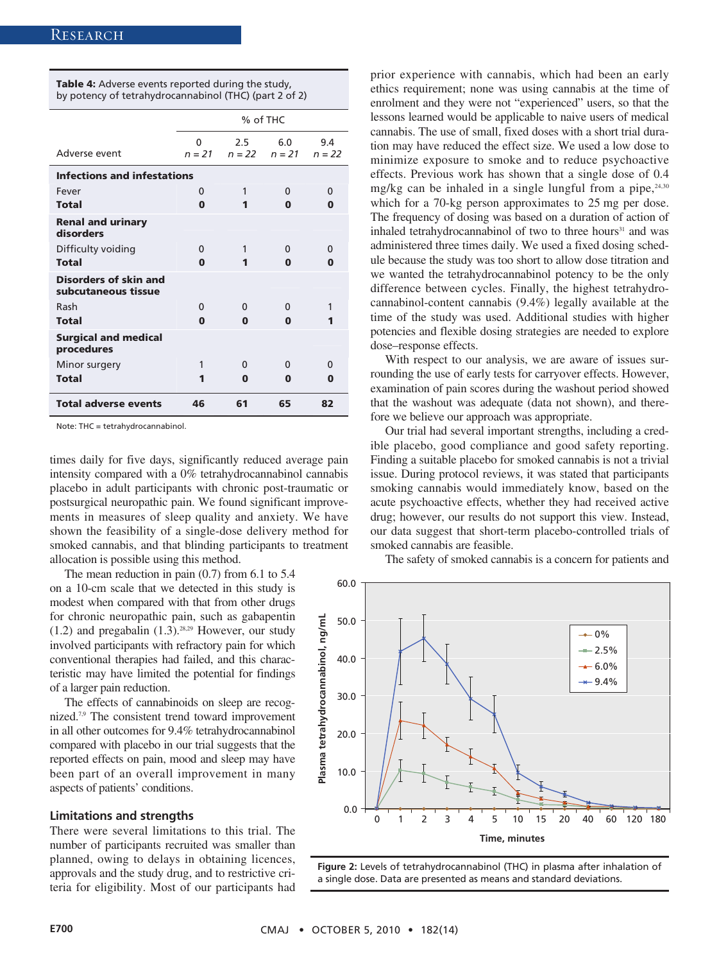| <b>Table 4:</b> Adverse events reported during the study, |
|-----------------------------------------------------------|
| by potency of tetrahydrocannabinol (THC) (part 2 of 2)    |

|                                              | % of THC      |          |                          |                 |  |  |  |  |
|----------------------------------------------|---------------|----------|--------------------------|-----------------|--|--|--|--|
| Adverse event                                | 0<br>$n = 21$ | 2.5      | 6.0<br>$n = 22$ $n = 21$ | 9.4<br>$n = 22$ |  |  |  |  |
| <b>Infections and infestations</b>           |               |          |                          |                 |  |  |  |  |
| Fever                                        | 0             | 1        | $\Omega$                 | 0               |  |  |  |  |
| <b>Total</b>                                 | $\bf{0}$      | 1        | $\bf{0}$                 | $\bf{0}$        |  |  |  |  |
| <b>Renal and urinary</b><br>disorders        |               |          |                          |                 |  |  |  |  |
| Difficulty voiding                           | 0             | 1        | <sup>0</sup>             | 0               |  |  |  |  |
| <b>Total</b>                                 | U             | 1        | U                        | $\bf{0}$        |  |  |  |  |
| Disorders of skin and<br>subcutaneous tissue |               |          |                          |                 |  |  |  |  |
| Rash                                         | $\Omega$      | $\Omega$ | <sup>0</sup>             | 1               |  |  |  |  |
| <b>Total</b>                                 | U             | U        | U                        | 1               |  |  |  |  |
| <b>Surgical and medical</b><br>procedures    |               |          |                          |                 |  |  |  |  |
| Minor surgery                                | 1             | $\Omega$ | 0                        | 0               |  |  |  |  |
| <b>Total</b>                                 | 1             | U        | U                        | ŋ               |  |  |  |  |
| <b>Total adverse events</b>                  | 46            | 61       | 65                       | 82              |  |  |  |  |

Note: THC = tetrahydrocannabinol.

times daily for five days, significantly reduced average pain intensity compared with a 0% tetrahydrocannabinol cannabis placebo in adult participants with chronic post-traumatic or postsurgical neuropathic pain. We found significant improvements in measures of sleep quality and anxiety. We have shown the feasibility of a single-dose delivery method for smoked cannabis, and that blinding participants to treatment allocation is possible using this method.

The mean reduction in pain (0.7) from 6.1 to 5.4 on a 10-cm scale that we detected in this study is modest when compared with that from other drugs for chronic neuropathic pain, such as gabapentin  $(1.2)$  and pregabalin  $(1.3).^{28,29}$  However, our study involved participants with refractory pain for which conventional therapies had failed, and this characteristic may have limited the potential for findings of a larger pain reduction.

The effects of cannabinoids on sleep are recognized.<sup>7,9</sup> The consistent trend toward improvement in all other outcomes for 9.4% tetrahydrocannabinol compared with placebo in our trial suggests that the reported effects on pain, mood and sleep may have been part of an overall improvement in many aspects of patients' conditions.

# **Limitations and strengths**

There were several limitations to this trial. The number of participants recruited was smaller than planned, owing to delays in obtaining licences, approvals and the study drug, and to restrictive criteria for eligibility. Most of our participants had

prior experience with cannabis, which had been an early ethics requirement; none was using cannabis at the time of enrolment and they were not "experienced" users, so that the lessons learned would be applicable to naive users of medical cannabis. The use of small, fixed doses with a short trial duration may have reduced the effect size. We used a low dose to minimize exposure to smoke and to reduce psychoactive effects. Previous work has shown that a single dose of 0.4 mg/kg can be inhaled in a single lungful from a pipe, 24,30 which for a 70-kg person approximates to 25 mg per dose. The frequency of dosing was based on a duration of action of inhaled tetrahydrocannabinol of two to three hours<sup>31</sup> and was administered three times daily. We used a fixed dosing schedule because the study was too short to allow dose titration and we wanted the tetrahydrocannabinol potency to be the only difference between cycles. Finally, the highest tetrahydrocannabinol-content cannabis (9.4%) legally available at the time of the study was used. Additional studies with higher potencies and flexible dosing strategies are needed to explore dose–response effects.

With respect to our analysis, we are aware of issues surrounding the use of early tests for carryover effects. However, examination of pain scores during the washout period showed that the washout was adequate (data not shown), and therefore we believe our approach was appropriate.

Our trial had several important strengths, including a credible placebo, good compliance and good safety reporting. Finding a suitable placebo for smoked cannabis is not a trivial issue. During protocol reviews, it was stated that participants smoking cannabis would immediately know, based on the acute psychoactive effects, whether they had received active drug; however, our results do not support this view. Instead, our data suggest that short-term placebo-controlled trials of smoked cannabis are feasible.

The safety of smoked cannabis is a concern for patients and



**Figure 2:** Levels of tetrahydrocannabinol (THC) in plasma after inhalation of a single dose. Data are presented as means and standard deviations.